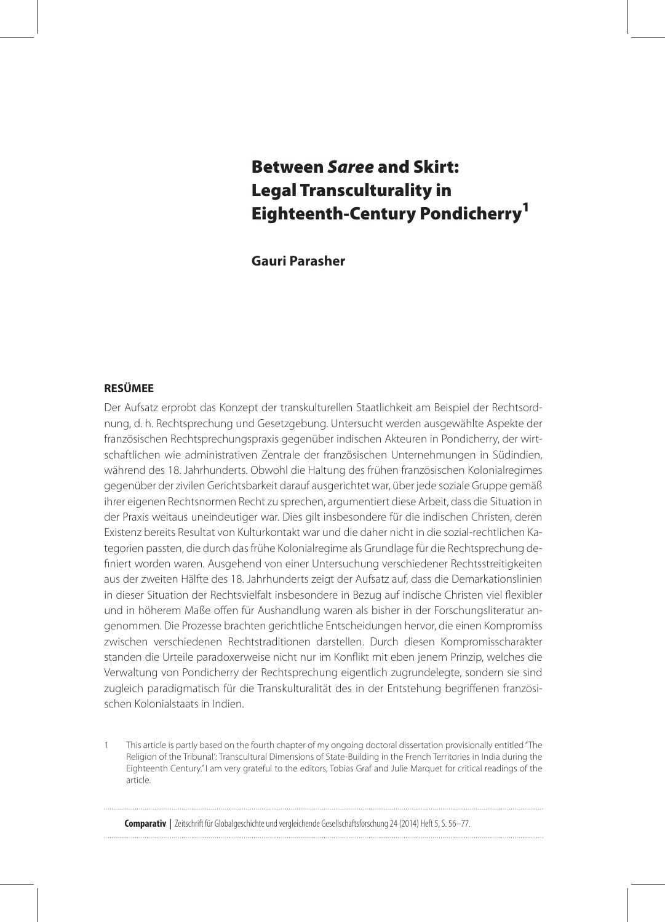# Between *Saree* and Skirt: Legal Transculturality in Eighteenth-Century Pondicherry<sup>1</sup>

**Gauri Parasher** 

# **RESÜMEE**

Der Aufsatz erprobt das Konzept der transkulturellen Staatlichkeit am Beispiel der Rechtsordnung, d. h. Rechtsprechung und Gesetzgebung. Untersucht werden ausgewählte Aspekte der französischen Rechtsprechungspraxis gegenüber indischen Akteuren in Pondicherry, der wirtschaftlichen wie administrativen Zentrale der französischen Unternehmungen in Südindien, während des 18. Jahrhunderts. Obwohl die Haltung des frühen französischen Kolonialregimes gegenüber der zivilen Gerichtsbarkeit darauf ausgerichtet war, über jede soziale Gruppe gemäß ihrer eigenen Rechtsnormen Recht zu sprechen, argumentiert diese Arbeit, dass die Situation in der Praxis weitaus uneindeutiger war. Dies gilt insbesondere für die indischen Christen, deren Existenz bereits Resultat von Kulturkontakt war und die daher nicht in die sozial-rechtlichen Kategorien passten, die durch das frühe Kolonialregime als Grundlage für die Rechtsprechung definiert worden waren. Ausgehend von einer Untersuchung verschiedener Rechtsstreitigkeiten aus der zweiten Hälfte des 18. Jahrhunderts zeigt der Aufsatz auf, dass die Demarkationslinien in dieser Situation der Rechtsvielfalt insbesondere in Bezug auf indische Christen viel flexibler und in höherem Maße offen für Aushandlung waren als bisher in der Forschungsliteratur angenommen. Die Prozesse brachten gerichtliche Entscheidungen hervor, die einen Kompromiss zwischen verschiedenen Rechtstraditionen darstellen. Durch diesen Kompromisscharakter standen die Urteile paradoxerweise nicht nur im Konflikt mit eben jenem Prinzip, welches die Verwaltung von Pondicherry der Rechtsprechung eigentlich zugrundelegte, sondern sie sind zugleich paradigmatisch für die Transkulturalität des in der Entstehung begriffenen französischen Kolonialstaats in Indien.

 This article is partly based on the fourth chapter of my ongoing doctoral dissertation provisionally entitled ''The Religion of the Tribunal': Transcultural Dimensions of State-Building in the French Territories in India during the Eighteenth Century." I am very grateful to the editors, Tobias Graf and Julie Marquet for critical readings of the article.

**Comparativ |** Zeitschrift für Globalgeschichte und vergleichende Gesellschaftsforschung 24 (2014) Heft 5, S. 56–77.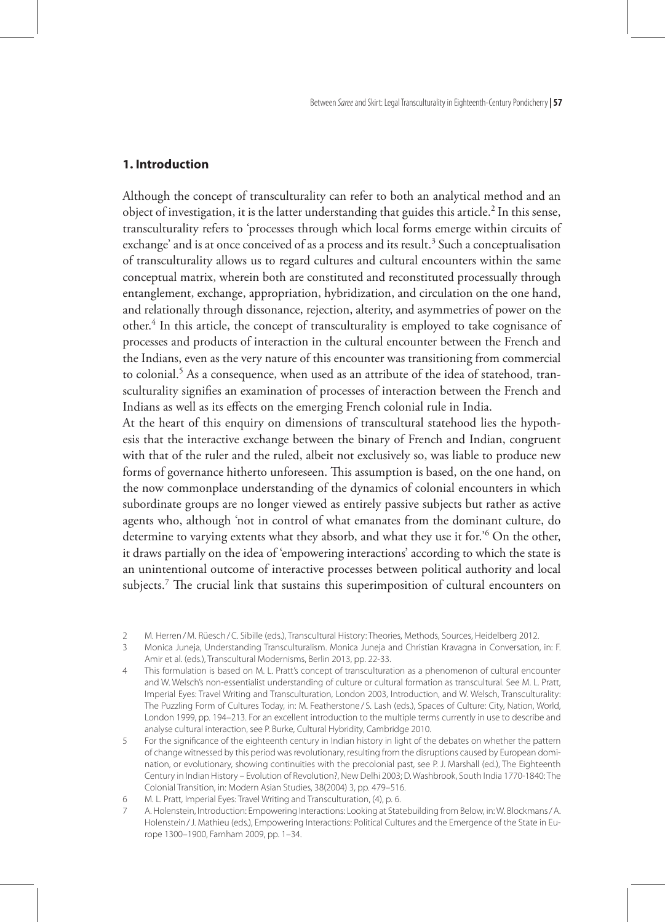## **1. Introduction**

Although the concept of transculturality can refer to both an analytical method and an object of investigation, it is the latter understanding that guides this article.<sup>2</sup> In this sense, transculturality refers to 'processes through which local forms emerge within circuits of exchange' and is at once conceived of as a process and its result.<sup>3</sup> Such a conceptualisation of transculturality allows us to regard cultures and cultural encounters within the same conceptual matrix, wherein both are constituted and reconstituted processually through entanglement, exchange, appropriation, hybridization, and circulation on the one hand, and relationally through dissonance, rejection, alterity, and asymmetries of power on the other.<sup>4</sup> In this article, the concept of transculturality is employed to take cognisance of processes and products of interaction in the cultural encounter between the French and the Indians, even as the very nature of this encounter was transitioning from commercial to colonial.<sup>5</sup> As a consequence, when used as an attribute of the idea of statehood, transculturality signifies an examination of processes of interaction between the French and Indians as well as its effects on the emerging French colonial rule in India.

At the heart of this enquiry on dimensions of transcultural statehood lies the hypothesis that the interactive exchange between the binary of French and Indian, congruent with that of the ruler and the ruled, albeit not exclusively so, was liable to produce new forms of governance hitherto unforeseen. This assumption is based, on the one hand, on the now commonplace understanding of the dynamics of colonial encounters in which subordinate groups are no longer viewed as entirely passive subjects but rather as active agents who, although 'not in control of what emanates from the dominant culture, do determine to varying extents what they absorb, and what they use it for.'6 On the other, it draws partially on the idea of 'empowering interactions' according to which the state is an unintentional outcome of interactive processes between political authority and local subjects.7 The crucial link that sustains this superimposition of cultural encounters on

M. Herren/M. Rüesch/C. Sibille (eds.), Transcultural History: Theories, Methods, Sources, Heidelberg 2012.

Monica Juneja, Understanding Transculturalism. Monica Juneja and Christian Kravagna in Conversation, in: F.  $\mathcal{R}$ Amir et al. (eds.), Transcultural Modernisms, Berlin 2013, pp. 22-33.

This formulation is based on M. L. Pratt's concept of transculturation as a phenomenon of cultural encounter and W. Welsch's non-essentialist understanding of culture or cultural formation as transcultural. See M. L. Pratt, Imperial Eyes: Travel Writing and Transculturation, London 2003, Introduction, and W. Welsch, Transculturality: The Puzzling Form of Cultures Today, in: M. Featherstone / S. Lash (eds.), Spaces of Culture: City, Nation, World, London 1999, pp. 194–213. For an excellent introduction to the multiple terms currently in use to describe and analyse cultural interaction, see P. Burke, Cultural Hybridity, Cambridge 2010.

For the significance of the eighteenth century in Indian history in light of the debates on whether the pattern of change witnessed by this period was revolutionary, resulting from the disruptions caused by European domination, or evolutionary, showing continuities with the precolonial past, see P. J. Marshall (ed.), The Eighteenth Century in Indian History – Evolution of Revolution?, New Delhi 2003; D. Washbrook, South India 1770-1840: The Colonial Transition, in: Modern Asian Studies, 38(2004) 3, pp. 479–516.

<sup>6</sup> M. L. Pratt, Imperial Eyes: Travel Writing and Transculturation, (4), p. 6.

A. Holenstein, Introduction: Empowering Interactions: Looking at Statebuilding from Below, in: W. Blockmans/A. Holenstein/J. Mathieu (eds.), Empowering Interactions: Political Cultures and the Emergence of the State in Europe 1300–1900, Farnham 2009, pp. 1–34.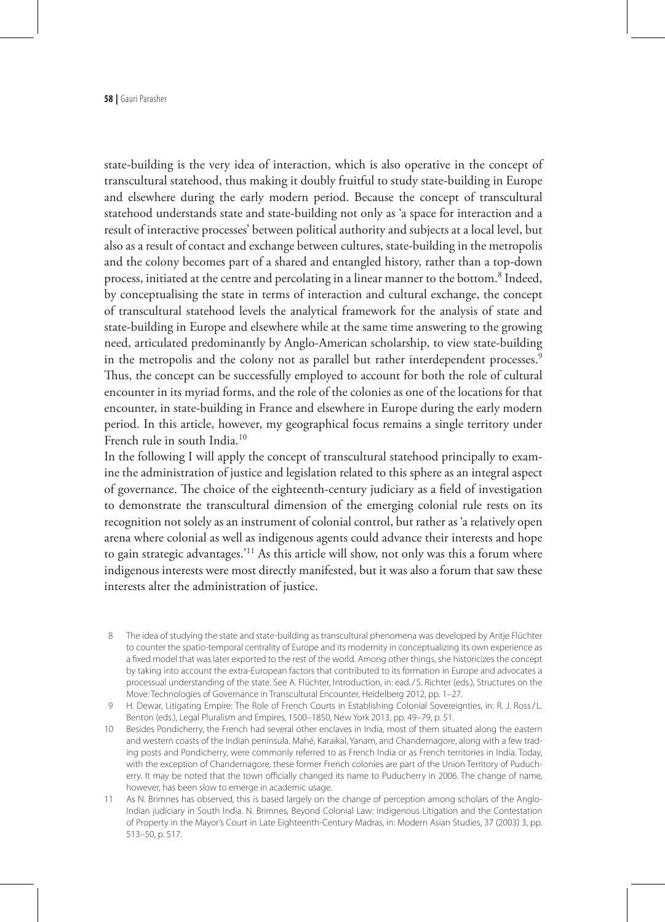state-building is the very idea of interaction, which is also operative in the concept of transcultural statehood, thus making it doubly fruitful to study state-building in Europe and elsewhere during the early modern period. Because the concept of transcultural statehood understands state and state-building not only as 'a space for interaction and a result of interactive processes' between political authority and subjects at a local level, but also as a result of contact and exchange between cultures, state-building in the metropolis and the colony becomes part of a shared and entangled history, rather than a top-down process, initiated at the centre and percolating in a linear manner to the bottom.<sup>8</sup> Indeed, by conceptualising the state in terms of interaction and cultural exchange, the concept of transcultural statehood levels the analytical framework for the analysis of state and state-building in Europe and elsewhere while at the same time answering to the growing need, articulated predominantly by Anglo-American scholarship, to view state-building in the metropolis and the colony not as parallel but rather interdependent processes.<sup>9</sup> Thus, the concept can be successfully employed to account for both the role of cultural encounter in its myriad forms, and the role of the colonies as one of the locations for that encounter, in state-building in France and elsewhere in Europe during the early modern period. In this article, however, my geographical focus remains a single territory under French rule in south India.10

In the following I will apply the concept of transcultural statehood principally to examine the administration of justice and legislation related to this sphere as an integral aspect of governance. The choice of the eighteenth-century judiciary as a field of investigation to demonstrate the transcultural dimension of the emerging colonial rule rests on its recognition not solely as an instrument of colonial control, but rather as 'a relatively open arena where colonial as well as indigenous agents could advance their interests and hope to gain strategic advantages.<sup>'11</sup> As this article will show, not only was this a forum where indigenous interests were most directly manifested, but it was also a forum that saw these interests alter the administration of justice.

- The idea of studying the state and state-building as transcultural phenomena was developed by Antje Flüchter to counter the spatio-temporal centrality of Europe and its modernity in conceptualizing its own experience as a fixed model that was later exported to the rest of the world. Among other things, she historicizes the concept by taking into account the extra-European factors that contributed to its formation in Europe and advocates a processual understanding of the state. See A. Flüchter, Introduction, in: ead./ S. Richter (eds.), Structures on the Move: Technologies of Governance in Transcultural Encounter, Heidelberg 2012, pp. 1–27.
- 9 H. Dewar, Litigating Empire: The Role of French Courts in Establishing Colonial Sovereignties, in: R. J. Ross/L. Benton (eds.), Legal Pluralism and Empires, 1500–1850, New York 2013, pp. 49–79, p. 51.
- 10 Besides Pondicherry, the French had several other enclaves in India, most of them situated along the eastern and western coasts of the Indian peninsula. Mahé, Karaikal, Yanam, and Chandernagore, along with a few trading posts and Pondicherry, were commonly referred to as French India or as French territories in India. Today, with the exception of Chandernagore, these former French colonies are part of the Union Territory of Puducherry. It may be noted that the town officially changed its name to Puducherry in 2006. The change of name, however, has been slow to emerge in academic usage.
- 11 As N. Brimnes has observed, this is based largely on the change of perception among scholars of the Anglo-Indian judiciary in South India. N. Brimnes, Beyond Colonial Law: Indigenous Litigation and the Contestation of Property in the Mayor's Court in Late Eighteenth-Century Madras, in: Modern Asian Studies, 37 (2003) 3, pp. 513–50, p. 517.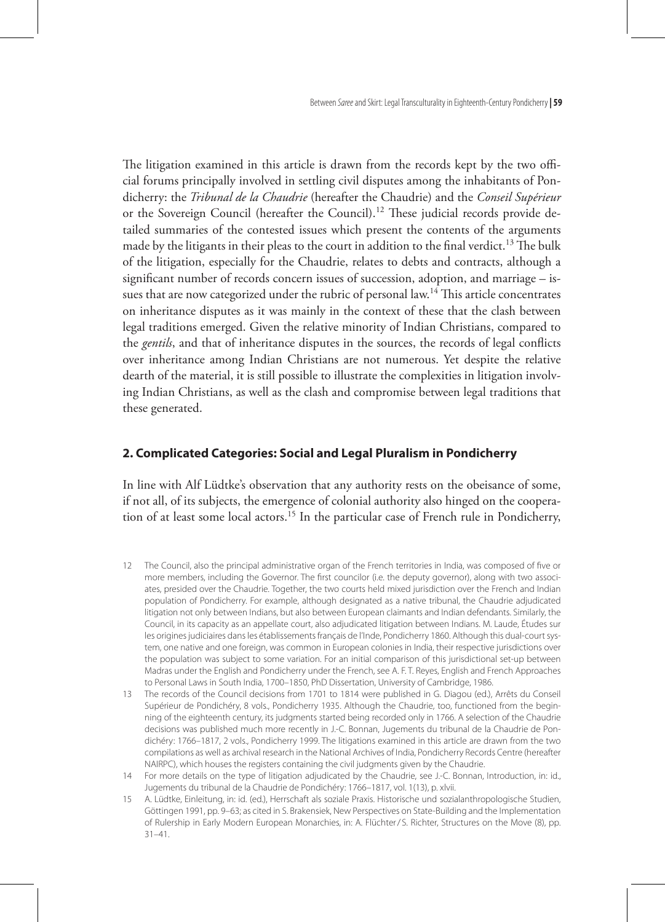Between *Saree* and Skirt: Legal Transculturality in Eighteenth-Century Pondicherry **| 59**

The litigation examined in this article is drawn from the records kept by the two official forums principally involved in settling civil disputes among the inhabitants of Pondicherry: the *Tribunal de la Chaudrie* (hereafter the Chaudrie) and the *Conseil Supérieur* or the Sovereign Council (hereafter the Council).12 These judicial records provide detailed summaries of the contested issues which present the contents of the arguments made by the litigants in their pleas to the court in addition to the final verdict.<sup>13</sup> The bulk of the litigation, especially for the Chaudrie, relates to debts and contracts, although a significant number of records concern issues of succession, adoption, and marriage – issues that are now categorized under the rubric of personal law.14 This article concentrates on inheritance disputes as it was mainly in the context of these that the clash between legal traditions emerged. Given the relative minority of Indian Christians, compared to the *gentils*, and that of inheritance disputes in the sources, the records of legal conflicts over inheritance among Indian Christians are not numerous. Yet despite the relative dearth of the material, it is still possible to illustrate the complexities in litigation involving Indian Christians, as well as the clash and compromise between legal traditions that these generated.

### **2. Complicated Categories: Social and Legal Pluralism in Pondicherry**

In line with Alf Lüdtke's observation that any authority rests on the obeisance of some, if not all, of its subjects, the emergence of colonial authority also hinged on the cooperation of at least some local actors.15 In the particular case of French rule in Pondicherry,

- 12 The Council, also the principal administrative organ of the French territories in India, was composed of five or more members, including the Governor. The first councilor (i.e. the deputy governor), along with two associates, presided over the Chaudrie. Together, the two courts held mixed jurisdiction over the French and Indian population of Pondicherry. For example, although designated as a native tribunal, the Chaudrie adjudicated litigation not only between Indians, but also between European claimants and Indian defendants. Similarly, the Council, in its capacity as an appellate court, also adjudicated litigation between Indians. M. Laude, Études sur les origines judiciaires dans les établissements français de l'Inde, Pondicherry 1860. Although this dual-court system, one native and one foreign, was common in European colonies in India, their respective jurisdictions over the population was subject to some variation. For an initial comparison of this jurisdictional set-up between Madras under the English and Pondicherry under the French, see A. F. T. Reyes, English and French Approaches to Personal Laws in South India, 1700–1850, PhD Dissertation, University of Cambridge, 1986.
- 13 The records of the Council decisions from 1701 to 1814 were published in G. Diagou (ed.), Arrêts du Conseil Supérieur de Pondichéry, 8 vols., Pondicherry 1935. Although the Chaudrie, too, functioned from the beginning of the eighteenth century, its judgments started being recorded only in 1766. A selection of the Chaudrie decisions was published much more recently in J.-C. Bonnan, Jugements du tribunal de la Chaudrie de Pondichéry: 1766–1817, 2 vols., Pondicherry 1999. The litigations examined in this article are drawn from the two compilations as well as archival research in the National Archives of India, Pondicherry Records Centre (hereafter NAIRPC), which houses the registers containing the civil judgments given by the Chaudrie.
- 14 For more details on the type of litigation adjudicated by the Chaudrie, see J.-C. Bonnan, Introduction, in: id., Jugements du tribunal de la Chaudrie de Pondichéry: 1766–1817, vol. 1(13), p. xlvii.
- 15 A. Lüdtke, Einleitung, in: id. (ed.), Herrschaft als soziale Praxis. Historische und sozialanthropologische Studien, Göttingen 1991, pp. 9–63; as cited in S. Brakensiek, New Perspectives on State-Building and the Implementation of Rulership in Early Modern European Monarchies, in: A. Flüchter/ S. Richter, Structures on the Move (8), pp. 31–41.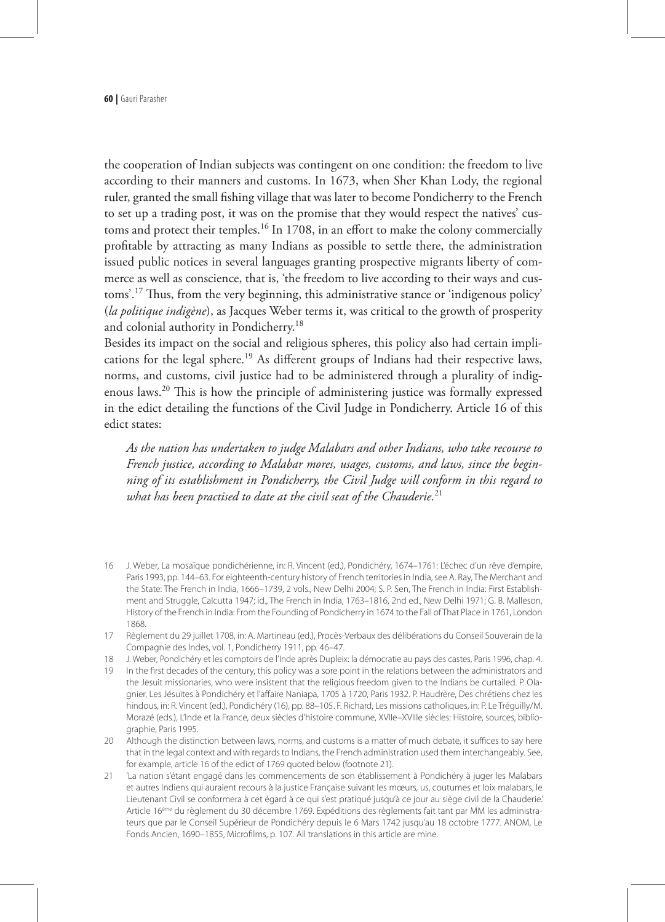the cooperation of Indian subjects was contingent on one condition: the freedom to live according to their manners and customs. In 1673, when Sher Khan Lody, the regional ruler, granted the small fishing village that was later to become Pondicherry to the French to set up a trading post, it was on the promise that they would respect the natives' customs and protect their temples.<sup>16</sup> In 1708, in an effort to make the colony commercially profitable by attracting as many Indians as possible to settle there, the administration issued public notices in several languages granting prospective migrants liberty of commerce as well as conscience, that is, 'the freedom to live according to their ways and customs'.17 Thus, from the very beginning, this administrative stance or 'indigenous policy' (*la politique indigène*), as Jacques Weber terms it, was critical to the growth of prosperity and colonial authority in Pondicherry.18

Besides its impact on the social and religious spheres, this policy also had certain implications for the legal sphere.<sup>19</sup> As different groups of Indians had their respective laws, norms, and customs, civil justice had to be administered through a plurality of indigenous laws.20 This is how the principle of administering justice was formally expressed in the edict detailing the functions of the Civil Judge in Pondicherry. Article 16 of this edict states:

*As the nation has undertaken to judge Malabars and other Indians, who take recourse to French justice, according to Malabar mores, usages, customs, and laws, since the beginning of its establishment in Pondicherry, the Civil Judge will conform in this regard to what has been practised to date at the civil seat of the Chauderie.*<sup>21</sup>

- 16 J. Weber, La mosaïque pondichérienne, in: R. Vincent (ed.), Pondichéry, 1674-1761: L'échec d'un rêve d'empire, Paris 1993, pp. 144–63. For eighteenth-century history of French territories in India, see A. Ray, The Merchant and the State: The French in India, 1666–1739, 2 vols., New Delhi 2004; S. P. Sen, The French in India: First Establishment and Struggle, Calcutta 1947; id., The French in India, 1763–1816, 2nd ed., New Delhi 1971; G. B. Malleson, History of the French in India: From the Founding of Pondicherry in 1674 to the Fall of That Place in 1761, London 1868.
- 17 Règlement du 29 juillet 1708, in: A. Martineau (ed.), Procès-Verbaux des délibérations du Conseil Souverain de la Compagnie des Indes, vol. 1, Pondicherry 1911, pp. 46–47.
- 18 J. Weber, Pondichéry et les comptoirs de l'Inde après Dupleix: la démocratie au pays des castes, Paris 1996, chap. 4.
- 19 In the first decades of the century, this policy was a sore point in the relations between the administrators and the Jesuit missionaries, who were insistent that the religious freedom given to the Indians be curtailed. P. Olagnier, Les Jésuites à Pondichéry et l'affaire Naniapa, 1705 à 1720, Paris 1932. P. Haudrère, Des chrétiens chez les hindous, in: R. Vincent (ed.), Pondichéry (16), pp. 88–105. F. Richard, Les missions catholiques, in: P. Le Tréquilly/M. Morazé (eds.), L'Inde et la France, deux siècles d'histoire commune, XVIIe–XVIIIe siècles: Histoire, sources, bibliographie, Paris 1995.
- 20 Although the distinction between laws, norms, and customs is a matter of much debate, it suffices to say here that in the legal context and with regards to Indians, the French administration used them interchangeably. See, for example, article 16 of the edict of 1769 quoted below (footnote 21).
- 21 'La nation s'étant engagé dans les commencements de son établissement à Pondichéry à juger les Malabars et autres Indiens qui auraient recours à la justice Française suivant les mœurs, us, coutumes et loix malabars, le Lieutenant Civil se conformera à cet égard à ce qui s'est pratiqué jusqu'à ce jour au siège civil de la Chauderie.' Article 16ème du règlement du 30 décembre 1769. Expéditions des règlements fait tant par MM les administrateurs que par le Conseil Supérieur de Pondichéry depuis le 6 Mars 1742 jusqu'au 18 octobre 1777. ANOM, Le Fonds Ancien, 1690–1855, Microfilms, p. 107. All translations in this article are mine.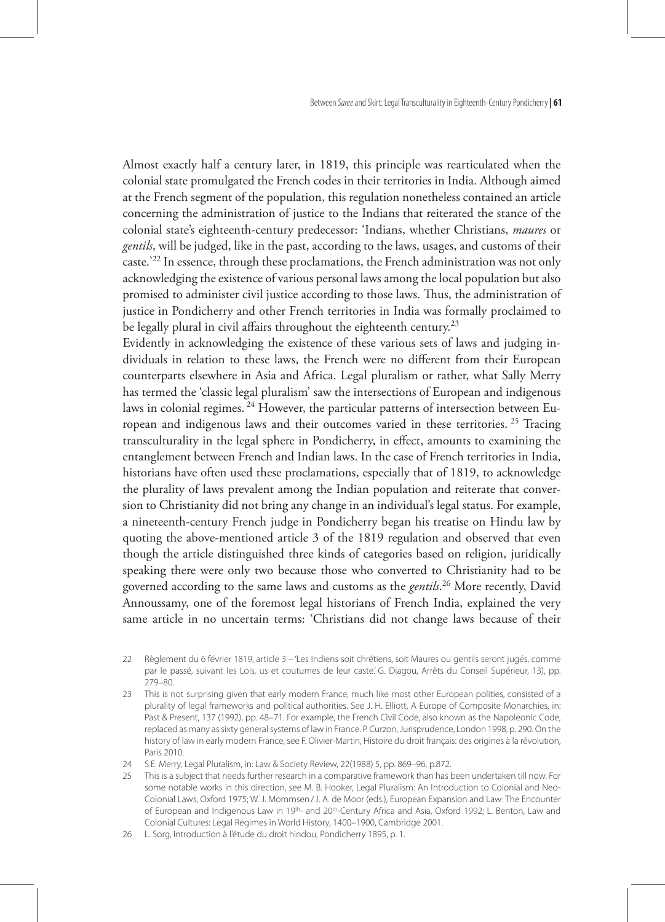Between *Saree* and Skirt: Legal Transculturality in Eighteenth-Century Pondicherry **| 61**

Almost exactly half a century later, in 1819, this principle was rearticulated when the colonial state promulgated the French codes in their territories in India. Although aimed at the French segment of the population, this regulation nonetheless contained an article concerning the administration of justice to the Indians that reiterated the stance of the colonial state's eighteenth-century predecessor: 'Indians, whether Christians, *maures* or *gentils*, will be judged, like in the past, according to the laws, usages, and customs of their caste.'22 In essence, through these proclamations, the French administration was not only acknowledging the existence of various personal laws among the local population but also promised to administer civil justice according to those laws. Thus, the administration of justice in Pondicherry and other French territories in India was formally proclaimed to be legally plural in civil affairs throughout the eighteenth century.<sup>23</sup>

Evidently in acknowledging the existence of these various sets of laws and judging individuals in relation to these laws, the French were no different from their European counterparts elsewhere in Asia and Africa. Legal pluralism or rather, what Sally Merry has termed the 'classic legal pluralism' saw the intersections of European and indigenous laws in colonial regimes. 24 However, the particular patterns of intersection between European and indigenous laws and their outcomes varied in these territories. 25 Tracing transculturality in the legal sphere in Pondicherry, in effect, amounts to examining the entanglement between French and Indian laws. In the case of French territories in India, historians have often used these proclamations, especially that of 1819, to acknowledge the plurality of laws prevalent among the Indian population and reiterate that conversion to Christianity did not bring any change in an individual's legal status. For example, a nineteenth-century French judge in Pondicherry began his treatise on Hindu law by quoting the above-mentioned article 3 of the 1819 regulation and observed that even though the article distinguished three kinds of categories based on religion, juridically speaking there were only two because those who converted to Christianity had to be governed according to the same laws and customs as the *gentils*. 26 More recently, David Annoussamy, one of the foremost legal historians of French India, explained the very same article in no uncertain terms: 'Christians did not change laws because of their

- 22 Règlement du 6 février 1819, article 3 'Les Indiens soit chrétiens, soit Maures ou gentils seront jugés, comme par le passé, suivant les Lois, us et coutumes de leur caste.' G. Diagou, Arrêts du Conseil Supérieur, 13), pp. 279–80.
- 23 This is not surprising given that early modern France, much like most other European polities, consisted of a plurality of legal frameworks and political authorities. See J. H. Elliott, A Europe of Composite Monarchies, in: Past & Present, 137 (1992), pp. 48–71. For example, the French Civil Code, also known as the Napoleonic Code, replaced as many as sixty general systems of law in France. P. Curzon, Jurisprudence, London 1998, p. 290. On the history of law in early modern France, see F. Olivier-Martin, Histoire du droit français: des origines à la révolution, Paris 2010.

<sup>24</sup> S.E. Merry, Legal Pluralism, in: Law & Society Review, 22(1988) 5, pp. 869–96, p.872.

<sup>25</sup> This is a subject that needs further research in a comparative framework than has been undertaken till now. For some notable works in this direction, see M. B. Hooker, Legal Pluralism: An Introduction to Colonial and Neo-Colonial Laws, Oxford 1975; W. J. Mommsen/J. A. de Moor (eds.), European Expansion and Law: The Encounter of European and Indigenous Law in 19th- and 20th-Century Africa and Asia, Oxford 1992; L. Benton, Law and Colonial Cultures: Legal Regimes in World History, 1400–1900, Cambridge 2001.

<sup>26</sup> L. Sorg*,* Introduction à l'étude du droit hindou, Pondicherry 1895, p. 1.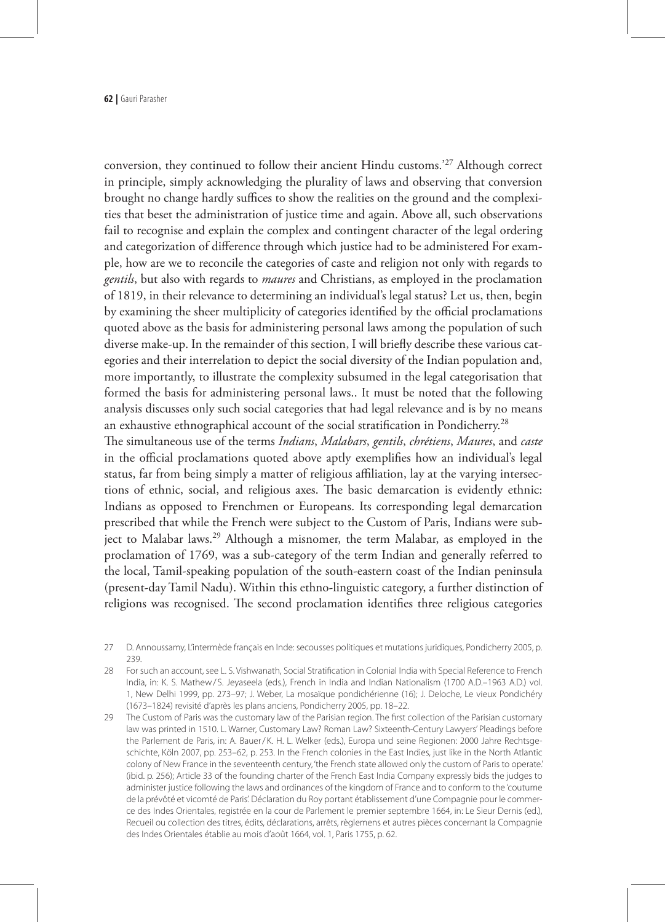conversion, they continued to follow their ancient Hindu customs.'27 Although correct in principle, simply acknowledging the plurality of laws and observing that conversion brought no change hardly suffices to show the realities on the ground and the complexities that beset the administration of justice time and again. Above all, such observations fail to recognise and explain the complex and contingent character of the legal ordering and categorization of difference through which justice had to be administered For example, how are we to reconcile the categories of caste and religion not only with regards to *gentils*, but also with regards to *maures* and Christians, as employed in the proclamation of 1819, in their relevance to determining an individual's legal status? Let us, then, begin by examining the sheer multiplicity of categories identified by the official proclamations quoted above as the basis for administering personal laws among the population of such diverse make-up. In the remainder of this section, I will briefly describe these various categories and their interrelation to depict the social diversity of the Indian population and, more importantly, to illustrate the complexity subsumed in the legal categorisation that formed the basis for administering personal laws.. It must be noted that the following analysis discusses only such social categories that had legal relevance and is by no means an exhaustive ethnographical account of the social stratification in Pondicherry.<sup>28</sup>

The simultaneous use of the terms *Indians*, *Malabars*, *gentils*, *chrétiens*, *Maures*, and *caste* in the official proclamations quoted above aptly exemplifies how an individual's legal status, far from being simply a matter of religious affiliation, lay at the varying intersections of ethnic, social, and religious axes. The basic demarcation is evidently ethnic: Indians as opposed to Frenchmen or Europeans. Its corresponding legal demarcation prescribed that while the French were subject to the Custom of Paris, Indians were subject to Malabar laws.<sup>29</sup> Although a misnomer, the term Malabar, as employed in the proclamation of 1769, was a sub-category of the term Indian and generally referred to the local, Tamil-speaking population of the south-eastern coast of the Indian peninsula (present-day Tamil Nadu). Within this ethno-linguistic category, a further distinction of religions was recognised. The second proclamation identifies three religious categories

- 27 D. Annoussamy, L'intermède français en Inde: secousses politiques et mutations juridiques, Pondicherry 2005, p. 239.
- 28 For such an account, see L. S. Vishwanath, Social Stratification in Colonial India with Special Reference to French India, in: K. S. Mathew/S. Jeyaseela (eds.), French in India and Indian Nationalism (1700 A.D.–1963 A.D.) vol. 1, New Delhi 1999, pp. 273–97; J. Weber, La mosaïque pondichérienne (16); J. Deloche, Le vieux Pondichéry (1673–1824) revisité d'après les plans anciens, Pondicherry 2005, pp. 18–22.
- 29 The Custom of Paris was the customary law of the Parisian region. The first collection of the Parisian customary law was printed in 1510. L. Warner, Customary Law? Roman Law? Sixteenth-Century Lawyers' Pleadings before the Parlement de Paris, in: A. Bauer/ K. H. L. Welker (eds.), Europa und seine Regionen: 2000 Jahre Rechtsgeschichte, Köln 2007, pp. 253–62, p. 253. In the French colonies in the East Indies, just like in the North Atlantic colony of New France in the seventeenth century, 'the French state allowed only the custom of Paris to operate.' (ibid. p. 256); Article 33 of the founding charter of the French East India Company expressly bids the judges to administer justice following the laws and ordinances of the kingdom of France and to conform to the 'coutume de la prévôté et vicomté de Paris'. Déclaration du Roy portant établissement d'une Compagnie pour le commerce des Indes Orientales, registrée en la cour de Parlement le premier septembre 1664, in: Le Sieur Dernis (ed.), Recueil ou collection des titres, édits, déclarations, arrêts, règlemens et autres pièces concernant la Compagnie des Indes Orientales établie au mois d'août 1664, vol. 1, Paris 1755, p. 62.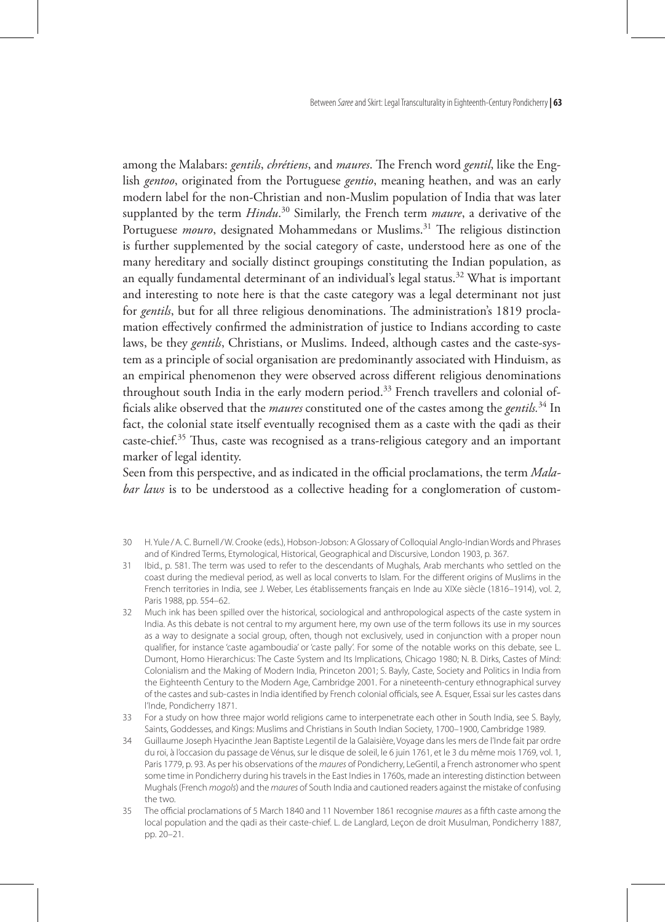Between *Saree* and Skirt: Legal Transculturality in Eighteenth-Century Pondicherry **| 63**

among the Malabars: *gentils*, *chrétiens*, and *maures*. The French word *gentil*, like the English *gentoo*, originated from the Portuguese *gentio*, meaning heathen, and was an early modern label for the non-Christian and non-Muslim population of India that was later supplanted by the term *Hindu*. 30 Similarly, the French term *maure*, a derivative of the Portuguese *mouro*, designated Mohammedans or Muslims.<sup>31</sup> The religious distinction is further supplemented by the social category of caste, understood here as one of the many hereditary and socially distinct groupings constituting the Indian population, as an equally fundamental determinant of an individual's legal status.<sup>32</sup> What is important and interesting to note here is that the caste category was a legal determinant not just for *gentils*, but for all three religious denominations. The administration's 1819 proclamation effectively confirmed the administration of justice to Indians according to caste laws, be they *gentils*, Christians, or Muslims. Indeed, although castes and the caste-system as a principle of social organisation are predominantly associated with Hinduism, as an empirical phenomenon they were observed across different religious denominations throughout south India in the early modern period.<sup>33</sup> French travellers and colonial officials alike observed that the *maures* constituted one of the castes among the *gentils.*34 In fact, the colonial state itself eventually recognised them as a caste with the qadi as their caste-chief.<sup>35</sup> Thus, caste was recognised as a trans-religious category and an important marker of legal identity.

Seen from this perspective, and as indicated in the official proclamations, the term *Malabar laws* is to be understood as a collective heading for a conglomeration of custom-

- 31 Ibid., p. 581. The term was used to refer to the descendants of Mughals, Arab merchants who settled on the coast during the medieval period, as well as local converts to Islam. For the different origins of Muslims in the French territories in India, see J. Weber, Les établissements français en Inde au XIXe siècle (1816–1914), vol. 2, Paris 1988, pp. 554–62.
- 32 Much ink has been spilled over the historical, sociological and anthropological aspects of the caste system in India. As this debate is not central to my argument here, my own use of the term follows its use in my sources as a way to designate a social group, often, though not exclusively, used in conjunction with a proper noun qualifier, for instance 'caste agamboudia' or 'caste pally'. For some of the notable works on this debate, see L. Dumont, Homo Hierarchicus: The Caste System and Its Implications, Chicago 1980; N. B. Dirks, Castes of Mind: Colonialism and the Making of Modern India, Princeton 2001; S. Bayly, Caste, Society and Politics in India from the Eighteenth Century to the Modern Age, Cambridge 2001. For a nineteenth-century ethnographical survey of the castes and sub-castes in India identified by French colonial officials, see A. Esquer, Essai sur les castes dans l'Inde, Pondicherry 1871.
- 33 For a study on how three major world religions came to interpenetrate each other in South India, see S. Bayly, Saints, Goddesses, and Kings: Muslims and Christians in South Indian Society, 1700–1900, Cambridge 1989.
- 34 Guillaume Joseph Hyacinthe Jean Baptiste Legentil de la Galaisière, Voyage dans les mers de l'Inde fait par ordre du roi, à l'occasion du passage de Vénus, sur le disque de soleil, le 6 juin 1761, et le 3 du même mois 1769, vol. 1, Paris 1779, p. 93. As per his observations of the *maures* of Pondicherry, LeGentil, a French astronomer who spent some time in Pondicherry during his travels in the East Indies in 1760s, made an interesting distinction between Mughals (French *mogols*) and the *maures* of South India and cautioned readers against the mistake of confusing the two.
- 35 The official proclamations of 5 March 1840 and 11 November 1861 recognise *maures* as a fifth caste among the local population and the qadi as their caste-chief. L. de Langlard, Leçon de droit Musulman, Pondicherry 1887, pp. 20–21.

<sup>30</sup> H. Yule /A. C. Burnell/W. Crooke (eds.), Hobson-Jobson: A Glossary of Colloquial Anglo-Indian Words and Phrases and of Kindred Terms, Etymological, Historical, Geographical and Discursive, London 1903, p. 367.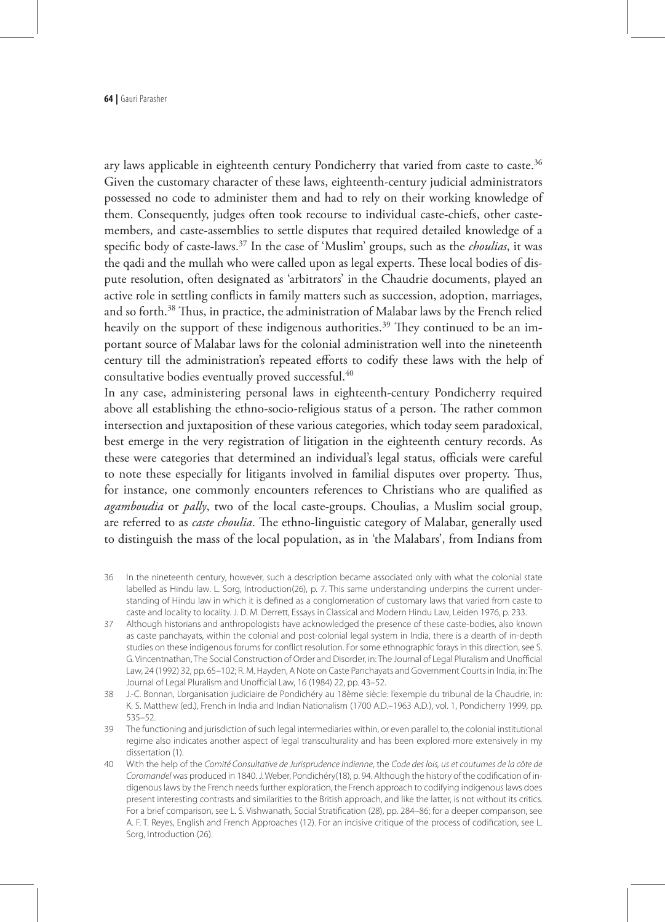ary laws applicable in eighteenth century Pondicherry that varied from caste to caste.<sup>36</sup> Given the customary character of these laws, eighteenth-century judicial administrators possessed no code to administer them and had to rely on their working knowledge of them. Consequently, judges often took recourse to individual caste-chiefs, other castemembers, and caste-assemblies to settle disputes that required detailed knowledge of a specific body of caste-laws.37 In the case of 'Muslim' groups, such as the *choulias*, it was the qadi and the mullah who were called upon as legal experts. These local bodies of dispute resolution, often designated as 'arbitrators' in the Chaudrie documents, played an active role in settling conflicts in family matters such as succession, adoption, marriages, and so forth.<sup>38</sup> Thus, in practice, the administration of Malabar laws by the French relied heavily on the support of these indigenous authorities.<sup>39</sup> They continued to be an important source of Malabar laws for the colonial administration well into the nineteenth century till the administration's repeated efforts to codify these laws with the help of consultative bodies eventually proved successful.<sup>40</sup>

In any case, administering personal laws in eighteenth-century Pondicherry required above all establishing the ethno-socio-religious status of a person. The rather common intersection and juxtaposition of these various categories, which today seem paradoxical, best emerge in the very registration of litigation in the eighteenth century records. As these were categories that determined an individual's legal status, officials were careful to note these especially for litigants involved in familial disputes over property. Thus, for instance, one commonly encounters references to Christians who are qualified as *agamboudia* or *pally*, two of the local caste-groups. Choulias, a Muslim social group, are referred to as *caste choulia*. The ethno-linguistic category of Malabar, generally used to distinguish the mass of the local population, as in 'the Malabars', from Indians from

- 36 In the nineteenth century, however, such a description became associated only with what the colonial state labelled as Hindu law. L. Sorg*,* Introduction(26), p. 7. This same understanding underpins the current understanding of Hindu law in which it is defined as a conglomeration of customary laws that varied from caste to caste and locality to locality. J. D. M. Derrett, Essays in Classical and Modern Hindu Law, Leiden 1976, p. 233.
- 37 Although historians and anthropologists have acknowledged the presence of these caste-bodies, also known as caste panchayats, within the colonial and post-colonial legal system in India, there is a dearth of in-depth studies on these indigenous forums for conflict resolution. For some ethnographic forays in this direction, see S. G. Vincentnathan, The Social Construction of Order and Disorder, in: The Journal of Legal Pluralism and Unofficial Law, 24 (1992) 32, pp. 65–102; R. M. Hayden, A Note on Caste Panchayats and Government Courts in India, in: The Journal of Legal Pluralism and Unofficial Law, 16 (1984) 22, pp. 43–52.
- 38 J.-C. Bonnan, L'organisation judiciaire de Pondichéry au 18ème siècle: l'exemple du tribunal de la Chaudrie, in: K. S. Matthew (ed.), French in India and Indian Nationalism (1700 A.D.–1963 A.D*.*), vol. 1, Pondicherry 1999, pp. 535–52.
- 39 The functioning and jurisdiction of such legal intermediaries within, or even parallel to, the colonial institutional regime also indicates another aspect of legal transculturality and has been explored more extensively in my dissertation (1).
- 40 With the help of the *Comité Consultative de Jurisprudence Indienne*, the *Code des lois, us et coutumes de la côte de Coromandel* was produced in 1840. J. Weber, Pondichéry(18), p. 94. Although the history of the codification of indigenous laws by the French needs further exploration, the French approach to codifying indigenous laws does present interesting contrasts and similarities to the British approach, and like the latter, is not without its critics. For a brief comparison, see L. S. Vishwanath, Social Stratification (28), pp. 284–86; for a deeper comparison, see A. F. T. Reyes, English and French Approaches (12). For an incisive critique of the process of codification, see L. Sorg, Introduction (26).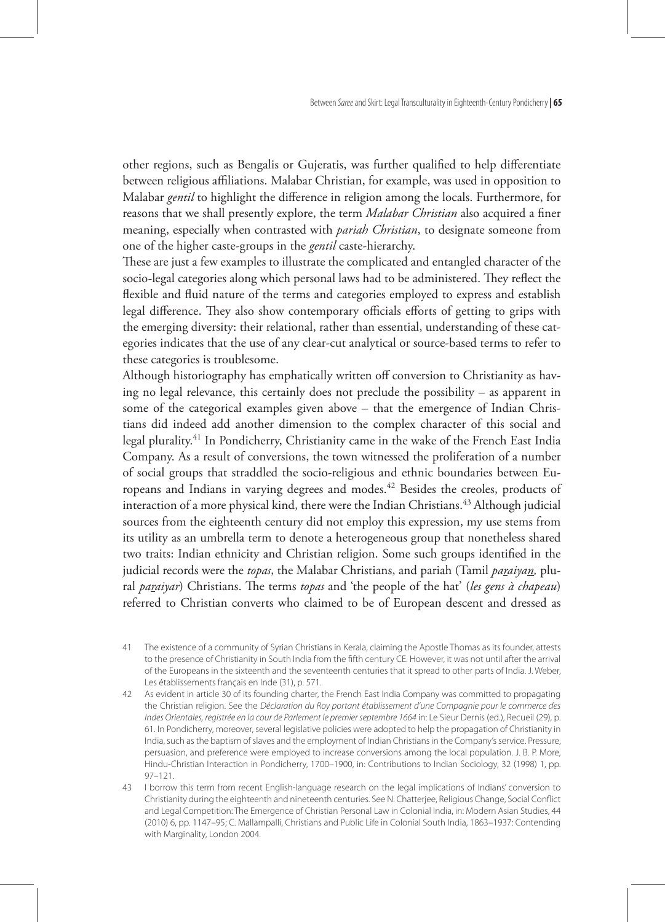other regions, such as Bengalis or Gujeratis, was further qualified to help differentiate between religious affiliations. Malabar Christian, for example, was used in opposition to Malabar *gentil* to highlight the difference in religion among the locals. Furthermore, for reasons that we shall presently explore, the term *Malabar Christian* also acquired a finer meaning, especially when contrasted with *pariah Christian*, to designate someone from one of the higher caste-groups in the *gentil* caste-hierarchy.

These are just a few examples to illustrate the complicated and entangled character of the socio-legal categories along which personal laws had to be administered. They reflect the flexible and fluid nature of the terms and categories employed to express and establish legal difference. They also show contemporary officials efforts of getting to grips with the emerging diversity: their relational, rather than essential, understanding of these categories indicates that the use of any clear-cut analytical or source-based terms to refer to these categories is troublesome.

Although historiography has emphatically written off conversion to Christianity as having no legal relevance, this certainly does not preclude the possibility – as apparent in some of the categorical examples given above – that the emergence of Indian Christians did indeed add another dimension to the complex character of this social and legal plurality.41 In Pondicherry, Christianity came in the wake of the French East India Company. As a result of conversions, the town witnessed the proliferation of a number of social groups that straddled the socio-religious and ethnic boundaries between Europeans and Indians in varying degrees and modes.42 Besides the creoles, products of interaction of a more physical kind, there were the Indian Christians.<sup>43</sup> Although judicial sources from the eighteenth century did not employ this expression, my use stems from its utility as an umbrella term to denote a heterogeneous group that nonetheless shared two traits: Indian ethnicity and Christian religion. Some such groups identified in the judicial records were the *topas*, the Malabar Christians, and pariah (Tamil *paraiyan,* plural *paraiyar*) Christians. The terms *topas* and 'the people of the hat' (*les gens à chapeau*) referred to Christian converts who claimed to be of European descent and dressed as

<sup>41</sup> The existence of a community of Syrian Christians in Kerala, claiming the Apostle Thomas as its founder, attests to the presence of Christianity in South India from the fifth century CE. However, it was not until after the arrival of the Europeans in the sixteenth and the seventeenth centuries that it spread to other parts of India. J. Weber, Les établissements français en Inde (31), p. 571.

<sup>42</sup> As evident in article 30 of its founding charter, the French East India Company was committed to propagating the Christian religion. See the *Déclaration du Roy portant établissement d'une Compagnie pour le commerce des Indes Orientales, registrée en la cour de Parlement le premier septembre 1664* in: Le Sieur Dernis (ed.), Recueil (29), p. 61. In Pondicherry, moreover, several legislative policies were adopted to help the propagation of Christianity in India, such as the baptism of slaves and the employment of Indian Christians in the Company's service. Pressure, persuasion, and preference were employed to increase conversions among the local population. J. B. P. More, Hindu-Christian Interaction in Pondicherry, 1700–1900, in: Contributions to Indian Sociology, 32 (1998) 1, pp. 97–121.

<sup>43</sup> I borrow this term from recent English-language research on the legal implications of Indians' conversion to Christianity during the eighteenth and nineteenth centuries. See N. Chatterjee, Religious Change, Social Conflict and Legal Competition: The Emergence of Christian Personal Law in Colonial India, in: Modern Asian Studies, 44 (2010) 6, pp. 1147–95; C. Mallampalli, Christians and Public Life in Colonial South India, 1863–1937: Contending with Marginality, London 2004.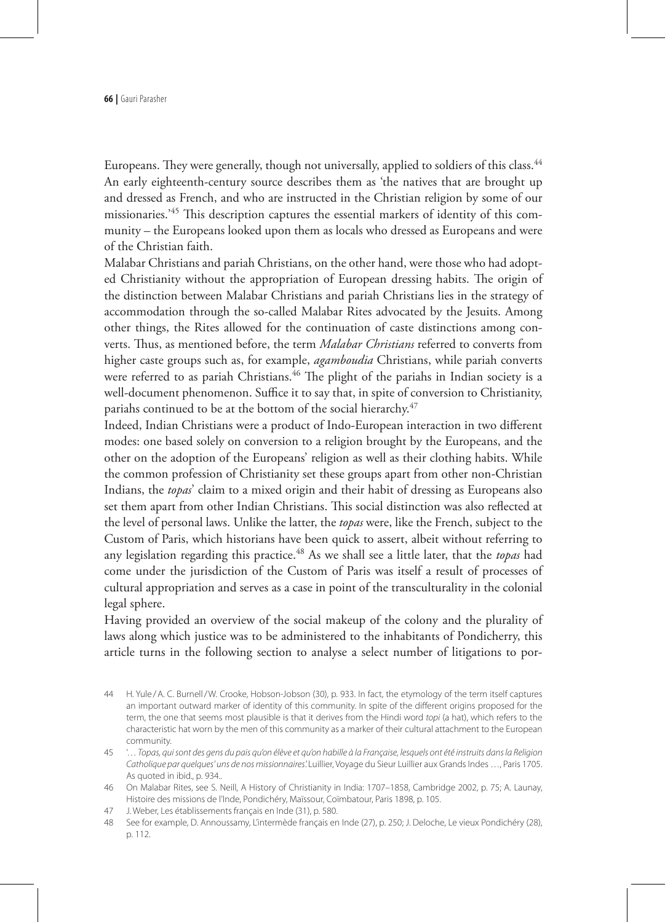Europeans. They were generally, though not universally, applied to soldiers of this class.<sup>44</sup> An early eighteenth-century source describes them as 'the natives that are brought up and dressed as French, and who are instructed in the Christian religion by some of our missionaries.'45 This description captures the essential markers of identity of this community – the Europeans looked upon them as locals who dressed as Europeans and were of the Christian faith.

Malabar Christians and pariah Christians, on the other hand, were those who had adopted Christianity without the appropriation of European dressing habits. The origin of the distinction between Malabar Christians and pariah Christians lies in the strategy of accommodation through the so-called Malabar Rites advocated by the Jesuits. Among other things, the Rites allowed for the continuation of caste distinctions among converts. Thus, as mentioned before, the term *Malabar Christians* referred to converts from higher caste groups such as, for example, *agamboudia* Christians, while pariah converts were referred to as pariah Christians.<sup>46</sup> The plight of the pariahs in Indian society is a well-document phenomenon. Suffice it to say that, in spite of conversion to Christianity, pariahs continued to be at the bottom of the social hierarchy.<sup>47</sup>

Indeed, Indian Christians were a product of Indo-European interaction in two different modes: one based solely on conversion to a religion brought by the Europeans, and the other on the adoption of the Europeans' religion as well as their clothing habits. While the common profession of Christianity set these groups apart from other non-Christian Indians, the *topas*' claim to a mixed origin and their habit of dressing as Europeans also set them apart from other Indian Christians. This social distinction was also reflected at the level of personal laws. Unlike the latter, the *topas* were, like the French, subject to the Custom of Paris, which historians have been quick to assert, albeit without referring to any legislation regarding this practice.<sup>48</sup> As we shall see a little later, that the *topas* had come under the jurisdiction of the Custom of Paris was itself a result of processes of cultural appropriation and serves as a case in point of the transculturality in the colonial legal sphere.

Having provided an overview of the social makeup of the colony and the plurality of laws along which justice was to be administered to the inhabitants of Pondicherry, this article turns in the following section to analyse a select number of litigations to por-

<sup>44</sup> H. Yule /A. C. Burnell/W. Crooke, Hobson-Jobson (30), p. 933. In fact, the etymology of the term itself captures an important outward marker of identity of this community. In spite of the different origins proposed for the term, the one that seems most plausible is that it derives from the Hindi word *topi* (a hat), which refers to the characteristic hat worn by the men of this community as a marker of their cultural attachment to the European community.

<sup>45</sup> '… *Topas, qui sont des gens du pais qu'on élève et qu'on habille à la Française, lesquels ont été instruits dans la Religion Catholique par quelques' uns de nos missionnaires*.' Luillier, Voyage du Sieur Luillier aux Grands Indes …, Paris 1705. As quoted in ibid., p. 934..

<sup>46</sup> On Malabar Rites, see S. Neill, A History of Christianity in India: 1707–1858, Cambridge 2002, p. 75; A. Launay, Histoire des missions de l'Inde, Pondichéry, Maïssour, Coïmbatour, Paris 1898, p. 105.

<sup>47</sup> J. Weber, Les établissements français en Inde (31), p. 580.

<sup>48</sup> See for example, D. Annoussamy, L'intermède français en Inde (27), p. 250; J. Deloche, Le vieux Pondichéry (28), p. 112.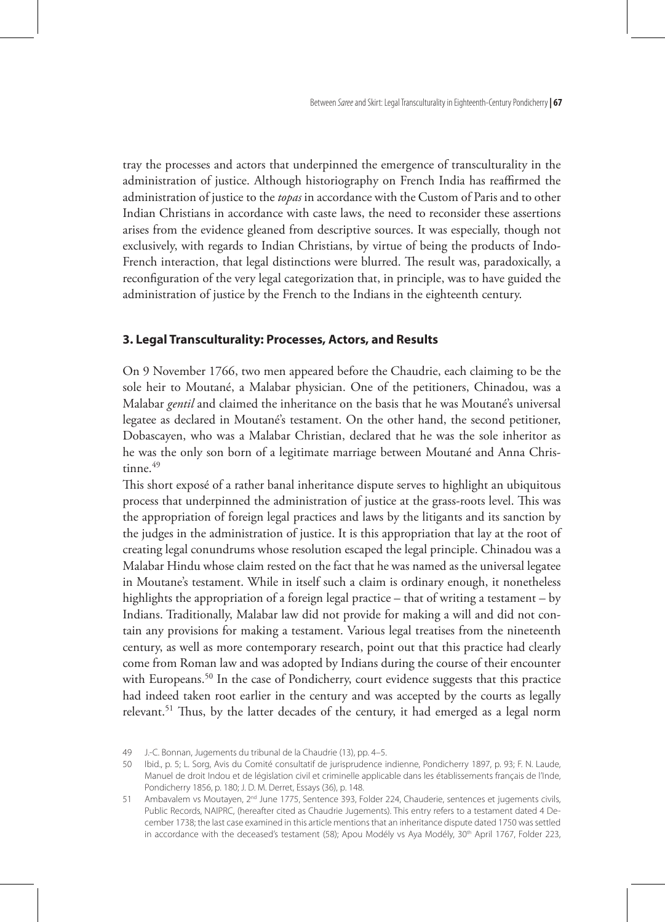tray the processes and actors that underpinned the emergence of transculturality in the administration of justice. Although historiography on French India has reaffirmed the administration of justice to the *topas* in accordance with the Custom of Paris and to other Indian Christians in accordance with caste laws, the need to reconsider these assertions arises from the evidence gleaned from descriptive sources. It was especially, though not exclusively, with regards to Indian Christians, by virtue of being the products of Indo-French interaction, that legal distinctions were blurred. The result was, paradoxically, a reconfiguration of the very legal categorization that, in principle, was to have guided the administration of justice by the French to the Indians in the eighteenth century.

#### **3. Legal Transculturality: Processes, Actors, and Results**

On 9 November 1766, two men appeared before the Chaudrie, each claiming to be the sole heir to Moutané, a Malabar physician. One of the petitioners, Chinadou, was a Malabar *gentil* and claimed the inheritance on the basis that he was Moutané's universal legatee as declared in Moutané's testament. On the other hand, the second petitioner, Dobascayen, who was a Malabar Christian, declared that he was the sole inheritor as he was the only son born of a legitimate marriage between Moutané and Anna Chris $t$ inne. $49$ 

This short exposé of a rather banal inheritance dispute serves to highlight an ubiquitous process that underpinned the administration of justice at the grass-roots level. This was the appropriation of foreign legal practices and laws by the litigants and its sanction by the judges in the administration of justice. It is this appropriation that lay at the root of creating legal conundrums whose resolution escaped the legal principle. Chinadou was a Malabar Hindu whose claim rested on the fact that he was named as the universal legatee in Moutane's testament. While in itself such a claim is ordinary enough, it nonetheless highlights the appropriation of a foreign legal practice – that of writing a testament – by Indians. Traditionally, Malabar law did not provide for making a will and did not contain any provisions for making a testament. Various legal treatises from the nineteenth century, as well as more contemporary research, point out that this practice had clearly come from Roman law and was adopted by Indians during the course of their encounter with Europeans.<sup>50</sup> In the case of Pondicherry, court evidence suggests that this practice had indeed taken root earlier in the century and was accepted by the courts as legally relevant.<sup>51</sup> Thus, by the latter decades of the century, it had emerged as a legal norm

<sup>49</sup> J.-C. Bonnan, Jugements du tribunal de la Chaudrie (13), pp. 4–5.

<sup>50</sup> Ibid., p. 5; L. Sorg, Avis du Comité consultatif de jurisprudence indienne, Pondicherry 1897, p. 93; F. N. Laude, Manuel de droit Indou et de législation civil et criminelle applicable dans les établissements français de l'Inde, Pondicherry 1856, p. 180; J. D. M. Derret, Essays (36), p. 148.

<sup>51</sup> Ambavalem vs Moutayen, 2<sup>nd</sup> June 1775, Sentence 393, Folder 224, Chauderie, sentences et jugements civils, Public Records, NAIPRC, (hereafter cited as Chaudrie Jugements). This entry refers to a testament dated 4 December 1738; the last case examined in this article mentions that an inheritance dispute dated 1750 was settled in accordance with the deceased's testament (58); Apou Modély vs Aya Modély, 30<sup>th</sup> April 1767, Folder 223,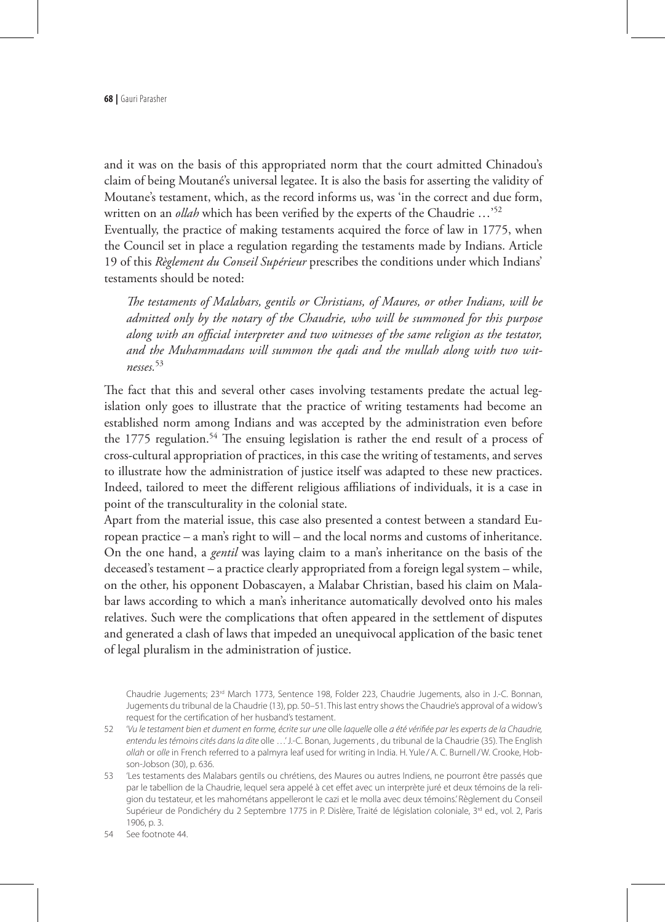and it was on the basis of this appropriated norm that the court admitted Chinadou's claim of being Moutané's universal legatee. It is also the basis for asserting the validity of Moutane's testament, which, as the record informs us, was 'in the correct and due form, written on an *ollah* which has been verified by the experts of the Chaudrie …'52

Eventually, the practice of making testaments acquired the force of law in 1775, when the Council set in place a regulation regarding the testaments made by Indians. Article 19 of this *Règlement du Conseil Supérieur* prescribes the conditions under which Indians' testaments should be noted:

*The testaments of Malabars, gentils or Christians, of Maures, or other Indians, will be admitted only by the notary of the Chaudrie, who will be summoned for this purpose along with an official interpreter and two witnesses of the same religion as the testator, and the Muhammadans will summon the qadi and the mullah along with two witnesses.*<sup>53</sup>

The fact that this and several other cases involving testaments predate the actual legislation only goes to illustrate that the practice of writing testaments had become an established norm among Indians and was accepted by the administration even before the 1775 regulation.<sup>54</sup> The ensuing legislation is rather the end result of a process of cross-cultural appropriation of practices, in this case the writing of testaments, and serves to illustrate how the administration of justice itself was adapted to these new practices. Indeed, tailored to meet the different religious affiliations of individuals, it is a case in point of the transculturality in the colonial state.

Apart from the material issue, this case also presented a contest between a standard European practice – a man's right to will – and the local norms and customs of inheritance. On the one hand, a *gentil* was laying claim to a man's inheritance on the basis of the deceased's testament – a practice clearly appropriated from a foreign legal system – while, on the other, his opponent Dobascayen, a Malabar Christian, based his claim on Malabar laws according to which a man's inheritance automatically devolved onto his males relatives. Such were the complications that often appeared in the settlement of disputes and generated a clash of laws that impeded an unequivocal application of the basic tenet of legal pluralism in the administration of justice.

Chaudrie Jugements; 23<sup>rd</sup> March 1773, Sentence 198, Folder 223, Chaudrie Jugements, also in J.-C. Bonnan, Jugements du tribunal de la Chaudrie (13), pp. 50–51. This last entry shows the Chaudrie's approval of a widow's request for the certification of her husband's testament.

- 52 '*Vu le testament bien et dument en forme, écrite sur une* olle *laquelle* olle *a été vérifiée par les experts de la Chaudrie, entendu les témoins cités dans la dite* olle …' J.-C. Bonan, Jugements , du tribunal de la Chaudrie (35). The English *ollah* or *olle* in French referred to a palmyra leaf used for writing in India. H. Yule /A. C. Burnell/W. Crooke, Hobson-Jobson (30), p. 636.
- 53 'Les testaments des Malabars gentils ou chrétiens, des Maures ou autres Indiens, ne pourront être passés que par le tabellion de la Chaudrie, lequel sera appelé à cet effet avec un interprète juré et deux témoins de la religion du testateur, et les mahométans appelleront le cazi et le molla avec deux témoins.' Règlement du Conseil Supérieur de Pondichéry du 2 Septembre 1775 in P. Dislère, Traité de législation coloniale, 3<sup>rd</sup> ed., vol. 2, Paris 1906, p. 3.

<sup>54</sup> See footnote 44.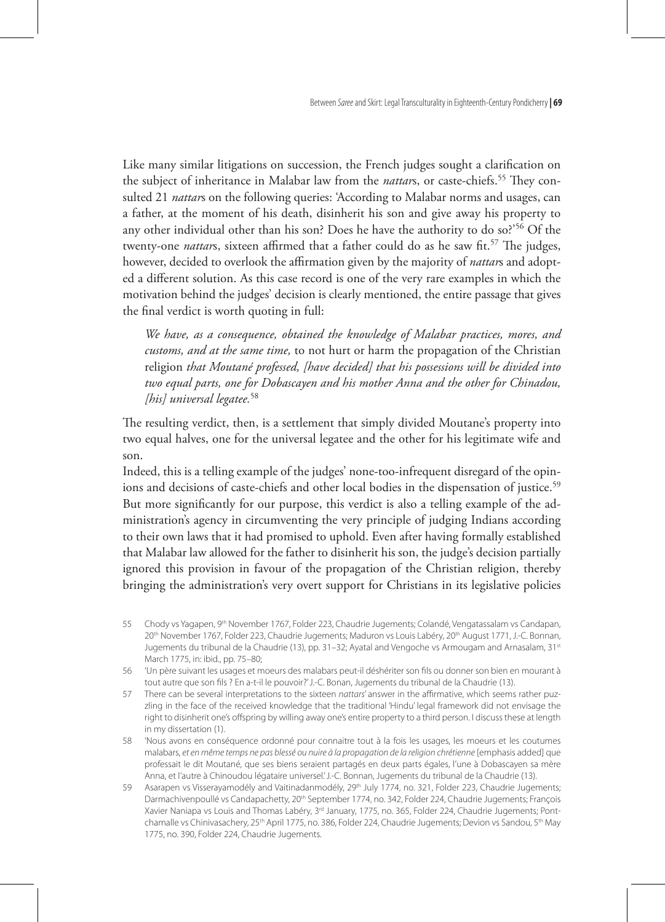Like many similar litigations on succession, the French judges sought a clarification on the subject of inheritance in Malabar law from the *nattar*s, or caste-chiefs.<sup>55</sup> They consulted 21 *nattar*s on the following queries: 'According to Malabar norms and usages, can a father, at the moment of his death, disinherit his son and give away his property to any other individual other than his son? Does he have the authority to do so?'56 Of the twenty-one *nattars*, sixteen affirmed that a father could do as he saw fit.<sup>57</sup> The judges, however, decided to overlook the affirmation given by the majority of *nattar*s and adopted a different solution. As this case record is one of the very rare examples in which the motivation behind the judges' decision is clearly mentioned, the entire passage that gives the final verdict is worth quoting in full:

*We have, as a consequence, obtained the knowledge of Malabar practices, mores, and customs, and at the same time,* to not hurt or harm the propagation of the Christian religion *that Moutané professed, [have decided] that his possessions will be divided into two equal parts, one for Dobascayen and his mother Anna and the other for Chinadou, [his] universal legatee.*<sup>58</sup>

The resulting verdict, then, is a settlement that simply divided Moutane's property into two equal halves, one for the universal legatee and the other for his legitimate wife and son.

Indeed, this is a telling example of the judges' none-too-infrequent disregard of the opinions and decisions of caste-chiefs and other local bodies in the dispensation of justice.<sup>59</sup> But more significantly for our purpose, this verdict is also a telling example of the administration's agency in circumventing the very principle of judging Indians according to their own laws that it had promised to uphold. Even after having formally established that Malabar law allowed for the father to disinherit his son, the judge's decision partially ignored this provision in favour of the propagation of the Christian religion, thereby bringing the administration's very overt support for Christians in its legislative policies

- 55 Chody vs Yagapen, 9th November 1767, Folder 223, Chaudrie Jugements; Colandé, Vengatassalam vs Candapan, 20<sup>th</sup> November 1767, Folder 223, Chaudrie Jugements; Maduron vs Louis Labéry, 20<sup>th</sup> August 1771, J.-C. Bonnan, Jugements du tribunal de la Chaudrie (13), pp. 31–32; Ayatal and Vengoche vs Armougam and Arnasalam, 31st March 1775, in: ibid., pp. 75–80;
- 56 'Un père suivant les usages et moeurs des malabars peut-il déshériter son fils ou donner son bien en mourant à tout autre que son fils ? En a-t-il le pouvoir?' J.-C. Bonan, Jugements du tribunal de la Chaudrie (13).
- 57 There can be several interpretations to the sixteen *nattars*' answer in the affirmative, which seems rather puzzling in the face of the received knowledge that the traditional 'Hindu' legal framework did not envisage the right to disinherit one's offspring by willing away one's entire property to a third person. I discuss these at length in my dissertation (1).
- 58 'Nous avons en conséquence ordonné pour connaitre tout à la fois les usages, les moeurs et les coutumes malabars, *et en même temps ne pas blessé ou nuire à la propagation de la religion chrétienne* [emphasis added] que professait le dit Moutané, que ses biens seraient partagés en deux parts égales, l'une à Dobascayen sa mère Anna, et l'autre à Chinoudou légataire universel.' J.-C. Bonnan, Jugements du tribunal de la Chaudrie (13).
- 59 Asarapen vs Visserayamodély and Vaitinadanmodély, 29<sup>th</sup> July 1774, no. 321, Folder 223, Chaudrie Jugements; Darmachivenpoullé vs Candapachetty, 20<sup>th</sup> September 1774, no. 342, Folder 224, Chaudrie Jugements; François Xavier Naniapa vs Louis and Thomas Labéry, 3<sup>rd</sup> January, 1775, no. 365, Folder 224, Chaudrie Jugements; Pontchamalle vs Chinivasachery, 25th April 1775, no. 386, Folder 224, Chaudrie Jugements; Devion vs Sandou, 5th May 1775, no. 390, Folder 224, Chaudrie Jugements.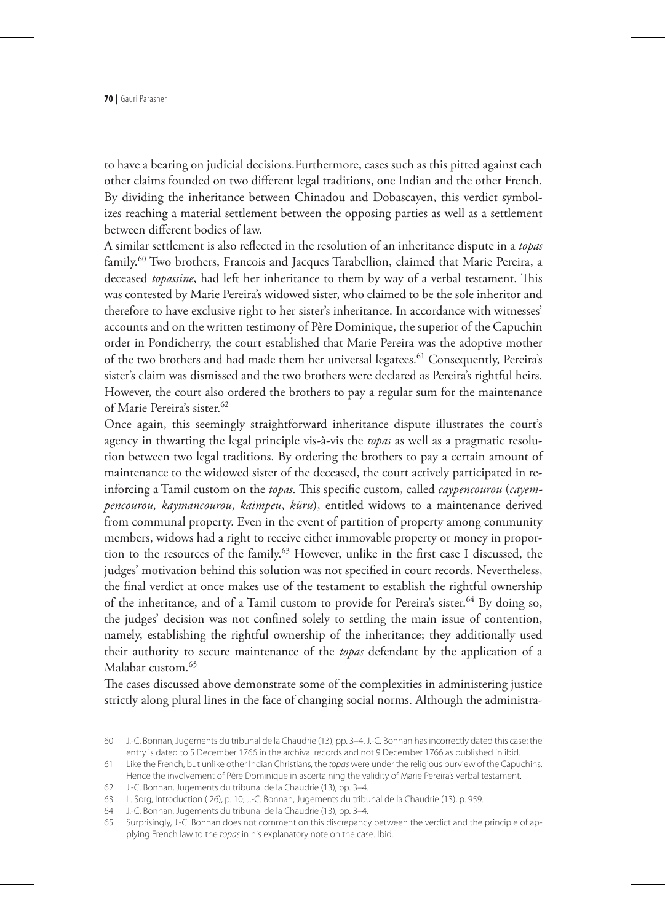to have a bearing on judicial decisions.Furthermore, cases such as this pitted against each other claims founded on two different legal traditions, one Indian and the other French. By dividing the inheritance between Chinadou and Dobascayen, this verdict symbolizes reaching a material settlement between the opposing parties as well as a settlement between different bodies of law.

A similar settlement is also reflected in the resolution of an inheritance dispute in a *topas*  family.<sup>60</sup> Two brothers, Francois and Jacques Tarabellion, claimed that Marie Pereira, a deceased *topassine*, had left her inheritance to them by way of a verbal testament. This was contested by Marie Pereira's widowed sister, who claimed to be the sole inheritor and therefore to have exclusive right to her sister's inheritance. In accordance with witnesses' accounts and on the written testimony of Père Dominique, the superior of the Capuchin order in Pondicherry, the court established that Marie Pereira was the adoptive mother of the two brothers and had made them her universal legatees.<sup>61</sup> Consequently, Pereira's sister's claim was dismissed and the two brothers were declared as Pereira's rightful heirs. However, the court also ordered the brothers to pay a regular sum for the maintenance of Marie Pereira's sister.<sup>62</sup>

Once again, this seemingly straightforward inheritance dispute illustrates the court's agency in thwarting the legal principle vis-à-vis the *topas* as well as a pragmatic resolution between two legal traditions. By ordering the brothers to pay a certain amount of maintenance to the widowed sister of the deceased, the court actively participated in reinforcing a Tamil custom on the *topas*. This specific custom, called *caypencourou* (*cayempencourou, kaymancourou*, *kaimpeu*, *küru*), entitled widows to a maintenance derived from communal property. Even in the event of partition of property among community members, widows had a right to receive either immovable property or money in proportion to the resources of the family.<sup>63</sup> However, unlike in the first case I discussed, the judges' motivation behind this solution was not specified in court records. Nevertheless, the final verdict at once makes use of the testament to establish the rightful ownership of the inheritance, and of a Tamil custom to provide for Pereira's sister.<sup>64</sup> By doing so, the judges' decision was not confined solely to settling the main issue of contention, namely, establishing the rightful ownership of the inheritance; they additionally used their authority to secure maintenance of the *topas* defendant by the application of a Malabar custom.<sup>65</sup>

The cases discussed above demonstrate some of the complexities in administering justice strictly along plural lines in the face of changing social norms. Although the administra-

<sup>60</sup> J.-C. Bonnan, Jugements du tribunal de la Chaudrie (13), pp. 3–4. J.-C. Bonnan has incorrectly dated this case: the entry is dated to 5 December 1766 in the archival records and not 9 December 1766 as published in ibid.

<sup>61</sup> Like the French, but unlike other Indian Christians, the *topas* were under the religious purview of the Capuchins. Hence the involvement of Père Dominique in ascertaining the validity of Marie Pereira's verbal testament.

<sup>62</sup> J.-C. Bonnan, Jugements du tribunal de la Chaudrie (13), pp. 3–4.

<sup>63</sup> L. Sorg, Introduction ( 26), p. 10; J.-C. Bonnan, Jugements du tribunal de la Chaudrie (13), p. 959.

<sup>64</sup> J.-C. Bonnan, Jugements du tribunal de la Chaudrie (13), pp. 3–4.

<sup>65</sup> Surprisingly, J.-C. Bonnan does not comment on this discrepancy between the verdict and the principle of applying French law to the *topas* in his explanatory note on the case. Ibid.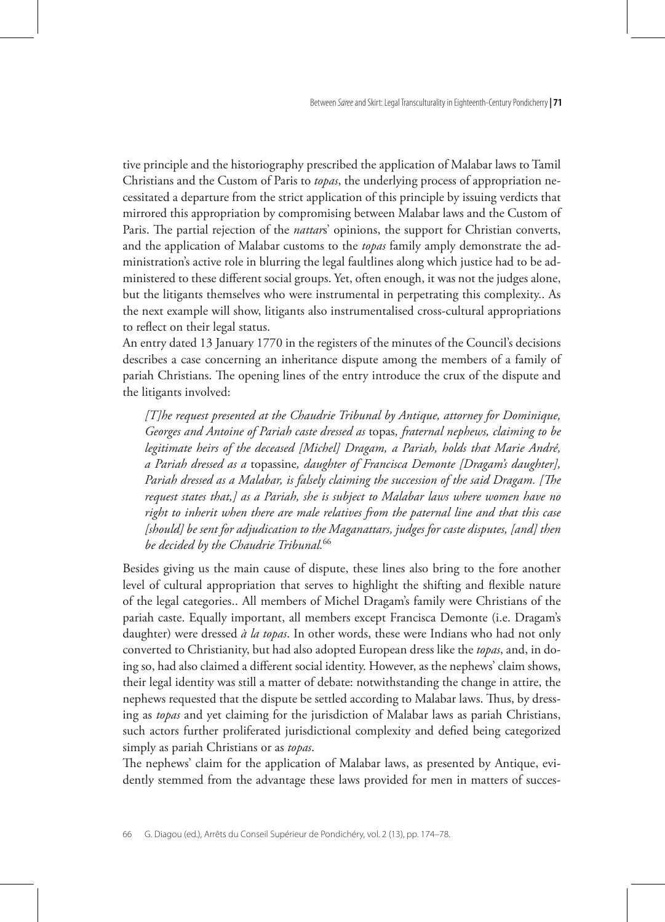tive principle and the historiography prescribed the application of Malabar laws to Tamil Christians and the Custom of Paris to *topas*, the underlying process of appropriation necessitated a departure from the strict application of this principle by issuing verdicts that mirrored this appropriation by compromising between Malabar laws and the Custom of Paris. The partial rejection of the *nattar*s' opinions, the support for Christian converts, and the application of Malabar customs to the *topas* family amply demonstrate the administration's active role in blurring the legal faultlines along which justice had to be administered to these different social groups. Yet, often enough, it was not the judges alone, but the litigants themselves who were instrumental in perpetrating this complexity.. As the next example will show, litigants also instrumentalised cross-cultural appropriations to reflect on their legal status.

An entry dated 13 January 1770 in the registers of the minutes of the Council's decisions describes a case concerning an inheritance dispute among the members of a family of pariah Christians. The opening lines of the entry introduce the crux of the dispute and the litigants involved:

*[T]he request presented at the Chaudrie Tribunal by Antique, attorney for Dominique, Georges and Antoine of Pariah caste dressed as* topas*, fraternal nephews, claiming to be legitimate heirs of the deceased [Michel] Dragam, a Pariah, holds that Marie André, a Pariah dressed as a* topassine*, daughter of Francisca Demonte [Dragam's daughter], Pariah dressed as a Malabar, is falsely claiming the succession of the said Dragam. [The request states that,] as a Pariah, she is subject to Malabar laws where women have no right to inherit when there are male relatives from the paternal line and that this case [should] be sent for adjudication to the Maganattars, judges for caste disputes, [and] then be decided by the Chaudrie Tribunal.*<sup>66</sup>

Besides giving us the main cause of dispute, these lines also bring to the fore another level of cultural appropriation that serves to highlight the shifting and flexible nature of the legal categories.. All members of Michel Dragam's family were Christians of the pariah caste. Equally important, all members except Francisca Demonte (i.e. Dragam's daughter) were dressed *à la topas*. In other words, these were Indians who had not only converted to Christianity, but had also adopted European dress like the *topas*, and, in doing so, had also claimed a different social identity. However, as the nephews' claim shows, their legal identity was still a matter of debate: notwithstanding the change in attire, the nephews requested that the dispute be settled according to Malabar laws. Thus, by dressing as *topas* and yet claiming for the jurisdiction of Malabar laws as pariah Christians, such actors further proliferated jurisdictional complexity and defied being categorized simply as pariah Christians or as *topas*.

The nephews' claim for the application of Malabar laws, as presented by Antique, evidently stemmed from the advantage these laws provided for men in matters of succes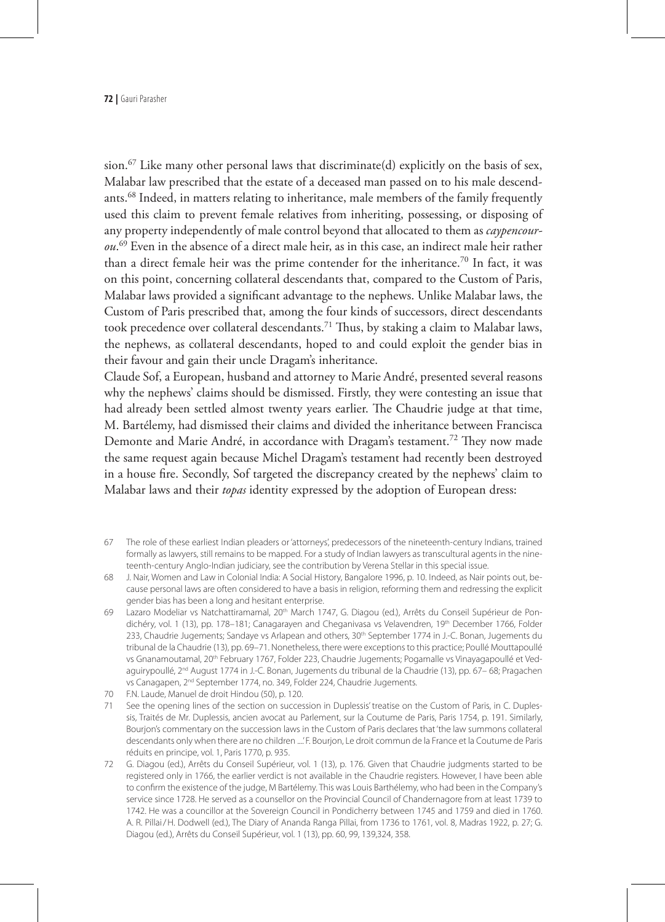sion.<sup>67</sup> Like many other personal laws that discriminate(d) explicitly on the basis of sex, Malabar law prescribed that the estate of a deceased man passed on to his male descendants.<sup>68</sup> Indeed, in matters relating to inheritance, male members of the family frequently used this claim to prevent female relatives from inheriting, possessing, or disposing of any property independently of male control beyond that allocated to them as *caypencourou*. 69 Even in the absence of a direct male heir, as in this case, an indirect male heir rather than a direct female heir was the prime contender for the inheritance.<sup>70</sup> In fact, it was on this point, concerning collateral descendants that, compared to the Custom of Paris, Malabar laws provided a significant advantage to the nephews. Unlike Malabar laws, the Custom of Paris prescribed that, among the four kinds of successors, direct descendants took precedence over collateral descendants.<sup>71</sup> Thus, by staking a claim to Malabar laws, the nephews, as collateral descendants, hoped to and could exploit the gender bias in their favour and gain their uncle Dragam's inheritance.

Claude Sof, a European, husband and attorney to Marie André, presented several reasons why the nephews' claims should be dismissed. Firstly, they were contesting an issue that had already been settled almost twenty years earlier. The Chaudrie judge at that time, M. Bartélemy, had dismissed their claims and divided the inheritance between Francisca Demonte and Marie André, in accordance with Dragam's testament.<sup>72</sup> They now made the same request again because Michel Dragam's testament had recently been destroyed in a house fire. Secondly, Sof targeted the discrepancy created by the nephews' claim to Malabar laws and their *topas* identity expressed by the adoption of European dress:

- 67 The role of these earliest Indian pleaders or 'attorneys', predecessors of the nineteenth-century Indians, trained formally as lawyers, still remains to be mapped. For a study of Indian lawyers as transcultural agents in the nineteenth-century Anglo-Indian judiciary, see the contribution by Verena Stellar in this special issue.
- 68 J. Nair, Women and Law in Colonial India: A Social History, Bangalore 1996, p. 10. Indeed, as Nair points out, because personal laws are often considered to have a basis in religion, reforming them and redressing the explicit gender bias has been a long and hesitant enterprise.
- 69 Lazaro Modeliar vs Natchattiramamal, 20th March 1747, G. Diagou (ed.), Arrêts du Conseil Supérieur de Pondichéry, vol. 1 (13), pp. 178-181; Canagarayen and Cheganivasa vs Velavendren, 19th December 1766, Folder 233, Chaudrie Jugements; Sandaye vs Arlapean and others, 30<sup>th</sup> September 1774 in J.-C. Bonan, Jugements du tribunal de la Chaudrie (13), pp. 69–71. Nonetheless, there were exceptions to this practice; Poullé Mouttapoullé vs Gnanamoutamal, 20<sup>th</sup> February 1767, Folder 223, Chaudrie Jugements; Pogamalle vs Vinayagapoullé et Vedaguirypoullé, 2<sup>nd</sup> August 1774 in J.-C. Bonan, Jugements du tribunal de la Chaudrie (13), pp. 67-68; Pragachen vs Canagapen, 2nd September 1774, no. 349, Folder 224, Chaudrie Jugements.
- 70 F.N. Laude, Manuel de droit Hindou (50), p. 120.
- 71 See the opening lines of the section on succession in Duplessis' treatise on the Custom of Paris, in C. Duplessis, Traités de Mr. Duplessis, ancien avocat au Parlement, sur la Coutume de Paris, Paris 1754, p. 191. Similarly, Bourjon's commentary on the succession laws in the Custom of Paris declares that 'the law summons collateral descendants only when there are no children ....' F. Bourjon, Le droit commun de la France et la Coutume de Paris réduits en principe, vol. 1, Paris 1770, p. 935.
- 72 G. Diagou (ed.), Arrêts du Conseil Supérieur, vol. 1 (13), p. 176. Given that Chaudrie judgments started to be registered only in 1766, the earlier verdict is not available in the Chaudrie registers. However, I have been able to confirm the existence of the judge, M Bartélemy. This was Louis Barthélemy, who had been in the Company's service since 1728. He served as a counsellor on the Provincial Council of Chandernagore from at least 1739 to 1742. He was a councillor at the Sovereign Council in Pondicherry between 1745 and 1759 and died in 1760. A. R. Pillai/H. Dodwell (ed.), The Diary of Ananda Ranga Pillai, from 1736 to 1761, vol. 8, Madras 1922, p. 27; G. Diagou (ed.), Arrêts du Conseil Supérieur, vol. 1 (13), pp. 60, 99, 139,324, 358.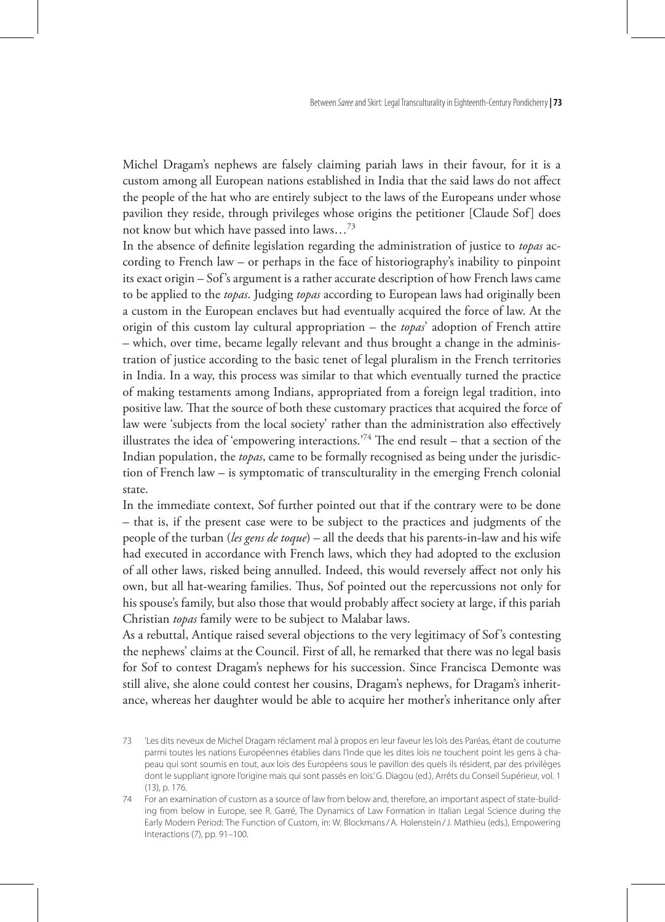Michel Dragam's nephews are falsely claiming pariah laws in their favour, for it is a custom among all European nations established in India that the said laws do not affect the people of the hat who are entirely subject to the laws of the Europeans under whose pavilion they reside, through privileges whose origins the petitioner [Claude Sof] does not know but which have passed into laws…73

In the absence of definite legislation regarding the administration of justice to *topas* according to French law – or perhaps in the face of historiography's inability to pinpoint its exact origin – Sof's argument is a rather accurate description of how French laws came to be applied to the *topas*. Judging *topas* according to European laws had originally been a custom in the European enclaves but had eventually acquired the force of law. At the origin of this custom lay cultural appropriation – the *topas*' adoption of French attire – which, over time, became legally relevant and thus brought a change in the administration of justice according to the basic tenet of legal pluralism in the French territories in India. In a way, this process was similar to that which eventually turned the practice of making testaments among Indians, appropriated from a foreign legal tradition, into positive law. That the source of both these customary practices that acquired the force of law were 'subjects from the local society' rather than the administration also effectively illustrates the idea of 'empowering interactions.<sup>74</sup> The end result – that a section of the Indian population, the *topas*, came to be formally recognised as being under the jurisdiction of French law – is symptomatic of transculturality in the emerging French colonial state.

In the immediate context, Sof further pointed out that if the contrary were to be done – that is, if the present case were to be subject to the practices and judgments of the people of the turban (*les gens de toque*) – all the deeds that his parents-in-law and his wife had executed in accordance with French laws, which they had adopted to the exclusion of all other laws, risked being annulled. Indeed, this would reversely affect not only his own, but all hat-wearing families. Thus, Sof pointed out the repercussions not only for his spouse's family, but also those that would probably affect society at large, if this pariah Christian *topas* family were to be subject to Malabar laws.

As a rebuttal, Antique raised several objections to the very legitimacy of Sof's contesting the nephews' claims at the Council. First of all, he remarked that there was no legal basis for Sof to contest Dragam's nephews for his succession. Since Francisca Demonte was still alive, she alone could contest her cousins, Dragam's nephews, for Dragam's inheritance, whereas her daughter would be able to acquire her mother's inheritance only after

<sup>73</sup> 'Les dits neveux de Michel Dragam réclament mal à propos en leur faveur les lois des Paréas, étant de coutume parmi toutes les nations Européennes établies dans l'Inde que les dites lois ne touchent point les gens à chapeau qui sont soumis en tout, aux lois des Européens sous le pavillon des quels ils résident, par des privilèges dont le suppliant ignore l'origine mais qui sont passés en lois.' G. Diagou (ed.), Arrêts du Conseil Supérieur, vol. 1  $(13)$  n 176.

<sup>74</sup> For an examination of custom as a source of law from below and, therefore, an important aspect of state-building from below in Europe, see R. Garré, The Dynamics of Law Formation in Italian Legal Science during the Early Modern Period: The Function of Custom, in: W. Blockmans/A. Holenstein/J. Mathieu (eds.), Empowering Interactions (7), pp. 91–100.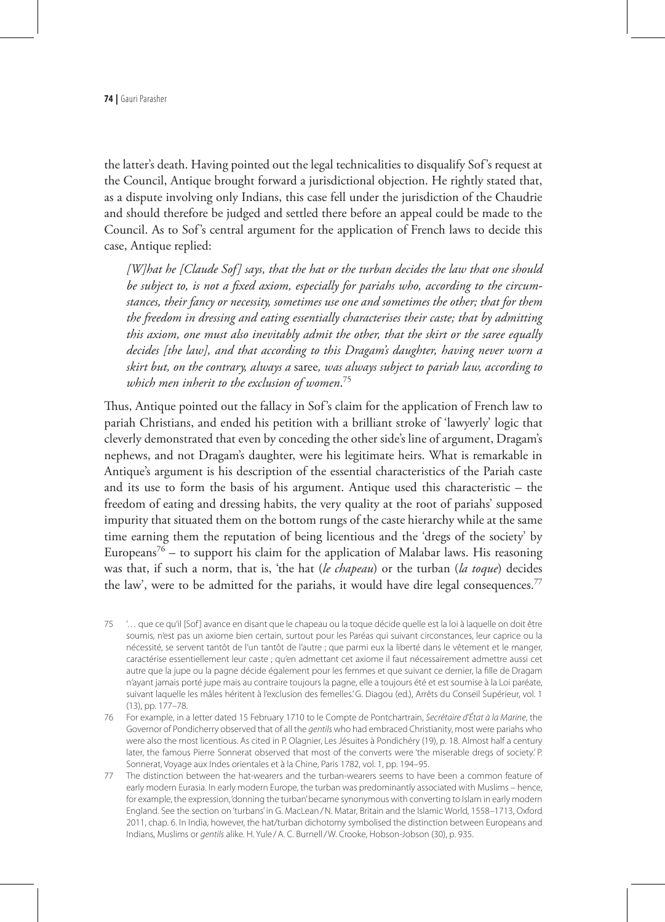the latter's death. Having pointed out the legal technicalities to disqualify Sof's request at the Council, Antique brought forward a jurisdictional objection. He rightly stated that, as a dispute involving only Indians, this case fell under the jurisdiction of the Chaudrie and should therefore be judged and settled there before an appeal could be made to the Council. As to Sof's central argument for the application of French laws to decide this case, Antique replied:

*[W]hat he [Claude Sof] says, that the hat or the turban decides the law that one should be subject to, is not a fixed axiom, especially for pariahs who, according to the circumstances, their fancy or necessity, sometimes use one and sometimes the other; that for them the freedom in dressing and eating essentially characterises their caste; that by admitting this axiom, one must also inevitably admit the other, that the skirt or the saree equally decides [the law], and that according to this Dragam's daughter, having never worn a skirt but, on the contrary, always a* saree*, was always subject to pariah law, according to which men inherit to the exclusion of women*. 75

Thus, Antique pointed out the fallacy in Sof's claim for the application of French law to pariah Christians, and ended his petition with a brilliant stroke of 'lawyerly' logic that cleverly demonstrated that even by conceding the other side's line of argument, Dragam's nephews, and not Dragam's daughter, were his legitimate heirs. What is remarkable in Antique's argument is his description of the essential characteristics of the Pariah caste and its use to form the basis of his argument. Antique used this characteristic – the freedom of eating and dressing habits, the very quality at the root of pariahs' supposed impurity that situated them on the bottom rungs of the caste hierarchy while at the same time earning them the reputation of being licentious and the 'dregs of the society' by Europeans<sup>76</sup> – to support his claim for the application of Malabar laws. His reasoning was that, if such a norm, that is, 'the hat (*le chapeau*) or the turban (*la toque*) decides the law', were to be admitted for the pariahs, it would have dire legal consequences.<sup>77</sup>

- 75 '… que ce qu'il [Sof ] avance en disant que le chapeau ou la toque décide quelle est la loi à laquelle on doit être soumis, n'est pas un axiome bien certain, surtout pour les Paréas qui suivant circonstances, leur caprice ou la nécessité, se servent tantôt de l'un tantôt de l'autre ; que parmi eux la liberté dans le vêtement et le manger, caractérise essentiellement leur caste ; qu'en admettant cet axiome il faut nécessairement admettre aussi cet autre que la jupe ou la pagne décide également pour les femmes et que suivant ce dernier, la fille de Dragam n'ayant jamais porté jupe mais au contraire toujours la pagne, elle a toujours été et est soumise à la Loi paréate, suivant laquelle les mâles héritent à l'exclusion des femelles.' G. Diagou (ed.), Arrêts du Conseil Supérieur, vol. 1 (13), pp. 177–78.
- 76 For example, in a letter dated 15 February 1710 to le Compte de Pontchartrain, *Secrétaire d'État à la Marine*, the Governor of Pondicherry observed that of all the *gentils* who had embraced Christianity, most were pariahs who were also the most licentious. As cited in P. Olagnier, Les Jésuites à Pondichéry (19), p. 18. Almost half a century later, the famous Pierre Sonnerat observed that most of the converts were 'the miserable dregs of society.' P. Sonnerat, Voyage aux Indes orientales et à la Chine, Paris 1782, vol. 1, pp. 194–95.
- 77 The distinction between the hat-wearers and the turban-wearers seems to have been a common feature of early modern Eurasia. In early modern Europe, the turban was predominantly associated with Muslims – hence, for example, the expression, 'donning the turban' became synonymous with converting to Islam in early modern England. See the section on 'turbans' in G. MacLean/N. Matar, Britain and the Islamic World, 1558–1713, Oxford 2011, chap. 6. In India, however, the hat/turban dichotomy symbolised the distinction between Europeans and Indians, Muslims or *gentils* alike. H. Yule /A. C. Burnell/W. Crooke, Hobson-Jobson (30), p. 935.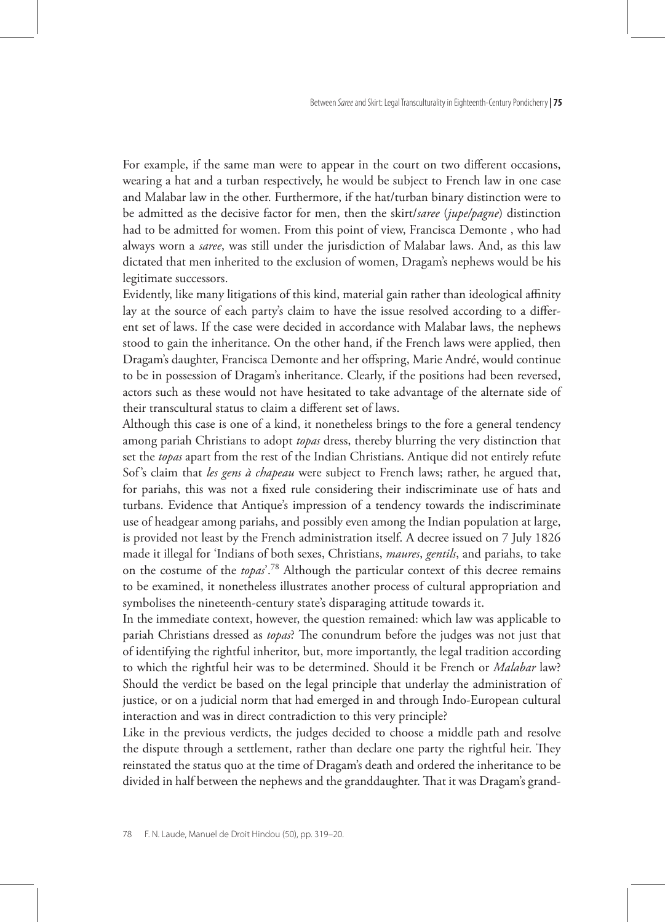For example, if the same man were to appear in the court on two different occasions, wearing a hat and a turban respectively, he would be subject to French law in one case and Malabar law in the other. Furthermore, if the hat/turban binary distinction were to be admitted as the decisive factor for men, then the skirt/*saree* (*jupe/pagne*) distinction had to be admitted for women. From this point of view, Francisca Demonte , who had always worn a *saree*, was still under the jurisdiction of Malabar laws. And, as this law dictated that men inherited to the exclusion of women, Dragam's nephews would be his legitimate successors.

Evidently, like many litigations of this kind, material gain rather than ideological affinity lay at the source of each party's claim to have the issue resolved according to a different set of laws. If the case were decided in accordance with Malabar laws, the nephews stood to gain the inheritance. On the other hand, if the French laws were applied, then Dragam's daughter, Francisca Demonte and her offspring, Marie André, would continue to be in possession of Dragam's inheritance. Clearly, if the positions had been reversed, actors such as these would not have hesitated to take advantage of the alternate side of their transcultural status to claim a different set of laws.

Although this case is one of a kind, it nonetheless brings to the fore a general tendency among pariah Christians to adopt *topas* dress, thereby blurring the very distinction that set the *topas* apart from the rest of the Indian Christians. Antique did not entirely refute Sof's claim that *les gens à chapeau* were subject to French laws; rather, he argued that, for pariahs, this was not a fixed rule considering their indiscriminate use of hats and turbans. Evidence that Antique's impression of a tendency towards the indiscriminate use of headgear among pariahs, and possibly even among the Indian population at large, is provided not least by the French administration itself. A decree issued on 7 July 1826 made it illegal for 'Indians of both sexes, Christians, *maures*, *gentils*, and pariahs, to take on the costume of the *topas*'.78 Although the particular context of this decree remains to be examined, it nonetheless illustrates another process of cultural appropriation and symbolises the nineteenth-century state's disparaging attitude towards it.

In the immediate context, however, the question remained: which law was applicable to pariah Christians dressed as *topas*? The conundrum before the judges was not just that of identifying the rightful inheritor, but, more importantly, the legal tradition according to which the rightful heir was to be determined. Should it be French or *Malabar* law? Should the verdict be based on the legal principle that underlay the administration of justice, or on a judicial norm that had emerged in and through Indo-European cultural interaction and was in direct contradiction to this very principle?

Like in the previous verdicts, the judges decided to choose a middle path and resolve the dispute through a settlement, rather than declare one party the rightful heir. They reinstated the status quo at the time of Dragam's death and ordered the inheritance to be divided in half between the nephews and the granddaughter. That it was Dragam's grand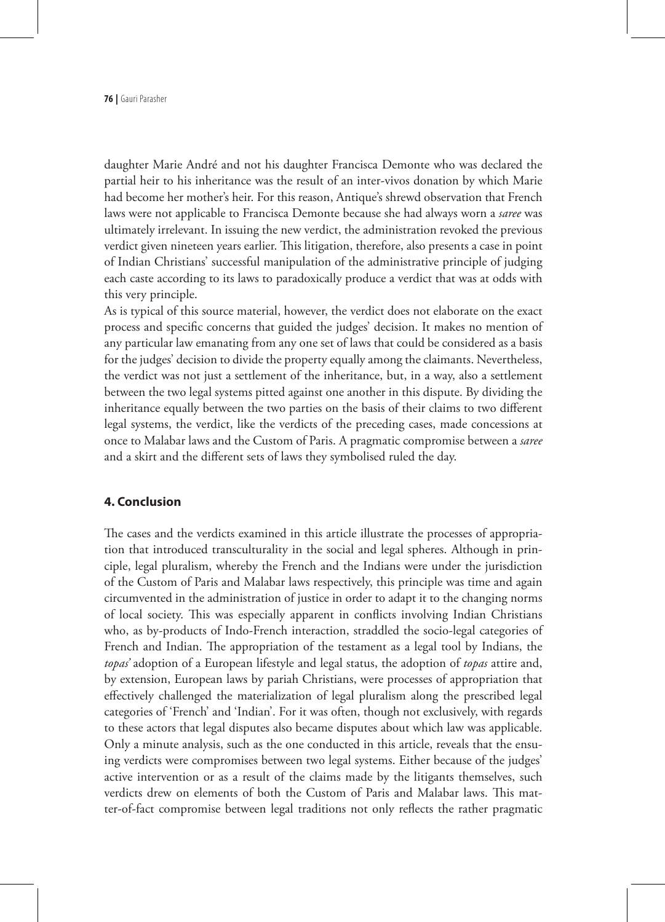daughter Marie André and not his daughter Francisca Demonte who was declared the partial heir to his inheritance was the result of an inter-vivos donation by which Marie had become her mother's heir. For this reason, Antique's shrewd observation that French laws were not applicable to Francisca Demonte because she had always worn a *saree* was ultimately irrelevant. In issuing the new verdict, the administration revoked the previous verdict given nineteen years earlier. This litigation, therefore, also presents a case in point of Indian Christians' successful manipulation of the administrative principle of judging each caste according to its laws to paradoxically produce a verdict that was at odds with this very principle.

As is typical of this source material, however, the verdict does not elaborate on the exact process and specific concerns that guided the judges' decision. It makes no mention of any particular law emanating from any one set of laws that could be considered as a basis for the judges' decision to divide the property equally among the claimants. Nevertheless, the verdict was not just a settlement of the inheritance, but, in a way, also a settlement between the two legal systems pitted against one another in this dispute. By dividing the inheritance equally between the two parties on the basis of their claims to two different legal systems, the verdict, like the verdicts of the preceding cases, made concessions at once to Malabar laws and the Custom of Paris. A pragmatic compromise between a *saree* and a skirt and the different sets of laws they symbolised ruled the day.

#### **4. Conclusion**

The cases and the verdicts examined in this article illustrate the processes of appropriation that introduced transculturality in the social and legal spheres. Although in principle, legal pluralism, whereby the French and the Indians were under the jurisdiction of the Custom of Paris and Malabar laws respectively, this principle was time and again circumvented in the administration of justice in order to adapt it to the changing norms of local society. This was especially apparent in conflicts involving Indian Christians who, as by-products of Indo-French interaction, straddled the socio-legal categories of French and Indian. The appropriation of the testament as a legal tool by Indians, the *topas'* adoption of a European lifestyle and legal status, the adoption of *topas* attire and, by extension, European laws by pariah Christians, were processes of appropriation that effectively challenged the materialization of legal pluralism along the prescribed legal categories of 'French' and 'Indian'. For it was often, though not exclusively, with regards to these actors that legal disputes also became disputes about which law was applicable. Only a minute analysis, such as the one conducted in this article, reveals that the ensuing verdicts were compromises between two legal systems. Either because of the judges' active intervention or as a result of the claims made by the litigants themselves, such verdicts drew on elements of both the Custom of Paris and Malabar laws. This matter-of-fact compromise between legal traditions not only reflects the rather pragmatic